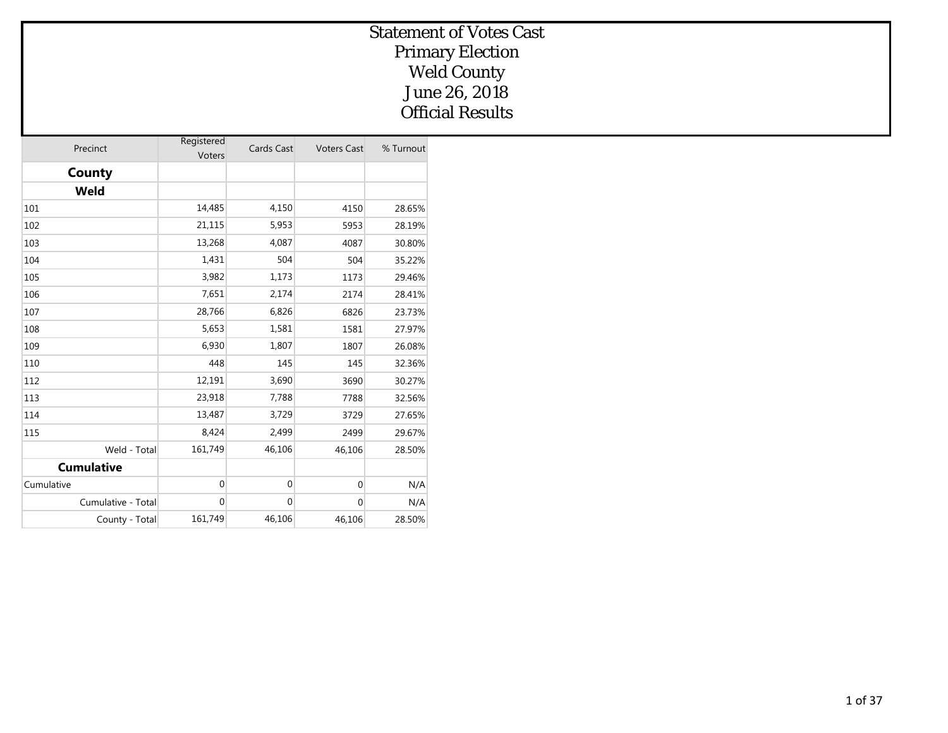| Precinct           | Registered<br>Voters | Cards Cast  | <b>Voters Cast</b> | % Turnout |
|--------------------|----------------------|-------------|--------------------|-----------|
| County             |                      |             |                    |           |
| Weld               |                      |             |                    |           |
| 101                | 14,485               | 4,150       | 4150               | 28.65%    |
| 102                | 21,115               | 5,953       | 5953               | 28.19%    |
| 103                | 13,268               | 4,087       | 4087               | 30.80%    |
| 104                | 1,431                | 504         | 504                | 35.22%    |
| 105                | 3,982                | 1,173       | 1173               | 29.46%    |
| 106                | 7,651                | 2,174       | 2174               | 28.41%    |
| 107                | 28,766               | 6,826       | 6826               | 23.73%    |
| 108                | 5,653                | 1,581       | 1581               | 27.97%    |
| 109                | 6,930                | 1,807       | 1807               | 26.08%    |
| 110                | 448                  | 145         | 145                | 32.36%    |
| 112                | 12,191               | 3,690       | 3690               | 30.27%    |
| 113                | 23,918               | 7,788       | 7788               | 32.56%    |
| 114                | 13,487               | 3,729       | 3729               | 27.65%    |
| 115                | 8,424                | 2,499       | 2499               | 29.67%    |
| Weld - Total       | 161,749              | 46,106      | 46,106             | 28.50%    |
| <b>Cumulative</b>  |                      |             |                    |           |
| Cumulative         | $\mathbf 0$          | $\mathbf 0$ | $\mathbf 0$        | N/A       |
| Cumulative - Total | $\mathbf{0}$         | $\mathbf 0$ | $\mathbf 0$        | N/A       |
| County - Total     | 161,749              | 46,106      | 46,106             | 28.50%    |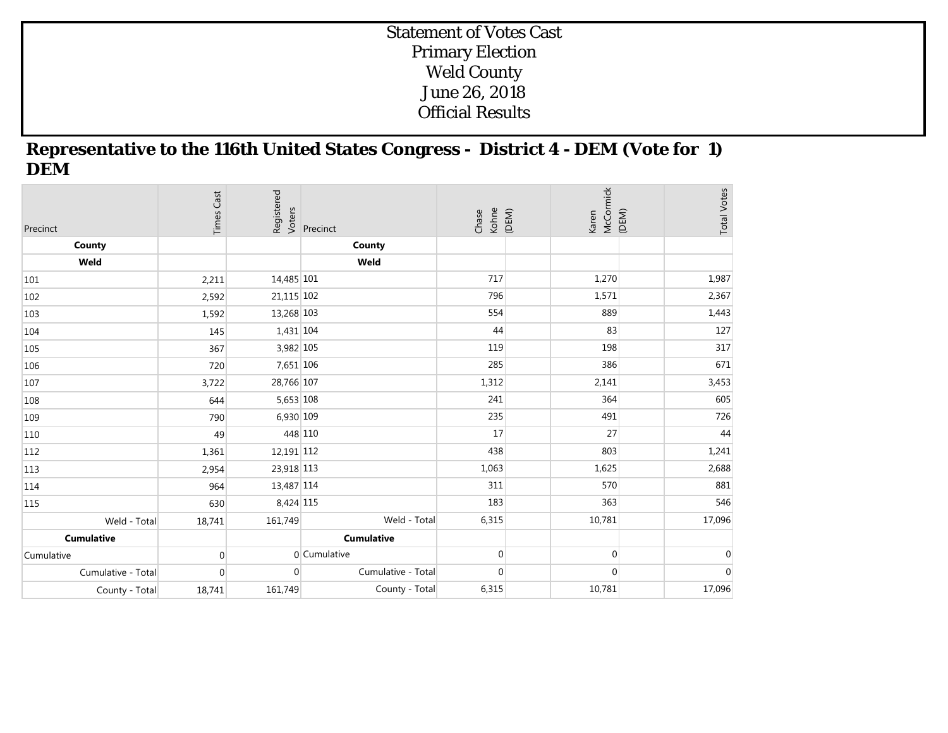#### **Representative to the 116th United States Congress - District 4 - DEM (Vote for 1) DEM**

| Precinct           | <b>Times Cast</b> | Registered<br>Voters | Precinct           | Chase<br>Kohne<br>(DEM) | McCormick<br>(DEM)<br>Karen | <b>Total Votes</b> |
|--------------------|-------------------|----------------------|--------------------|-------------------------|-----------------------------|--------------------|
| County             |                   |                      | County             |                         |                             |                    |
| Weld               |                   |                      | Weld               |                         |                             |                    |
| 101                | 2,211             | 14,485 101           |                    | 717                     | 1,270                       | 1,987              |
| 102                | 2,592             | 21,115 102           |                    | 796                     | 1,571                       | 2,367              |
| 103                | 1,592             | 13,268 103           |                    | 554                     | 889                         | 1,443              |
| 104                | 145               | 1,431 104            |                    | 44                      | 83                          | 127                |
| 105                | 367               | 3,982 105            |                    | 119                     | 198                         | 317                |
| 106                | 720               | 7,651 106            |                    | 285                     | 386                         | 671                |
| 107                | 3,722             | 28,766 107           |                    | 1,312                   | 2,141                       | 3,453              |
| 108                | 644               | 5,653 108            |                    | 241                     | 364                         | 605                |
| 109                | 790               | 6,930 109            |                    | 235                     | 491                         | 726                |
| 110                | 49                |                      | 448 110            | 17                      | 27                          | 44                 |
| 112                | 1,361             | 12,191 112           |                    | 438                     | 803                         | 1,241              |
| 113                | 2,954             | 23,918 113           |                    | 1,063                   | 1,625                       | 2,688              |
| 114                | 964               | 13,487 114           |                    | 311                     | 570                         | 881                |
| 115                | 630               | 8,424 115            |                    | 183                     | 363                         | 546                |
| Weld - Total       | 18,741            | 161,749              | Weld - Total       | 6,315                   | 10,781                      | 17,096             |
| <b>Cumulative</b>  |                   |                      | <b>Cumulative</b>  |                         |                             |                    |
| Cumulative         | $\overline{0}$    |                      | 0 Cumulative       | $\overline{0}$          | $\overline{0}$              | $\overline{0}$     |
| Cumulative - Total | $\overline{0}$    | $\Omega$             | Cumulative - Total | $\overline{0}$          | $\mathbf{0}$                | $\mathbf 0$        |
| County - Total     | 18,741            | 161,749              | County - Total     | 6,315                   | 10,781                      | 17,096             |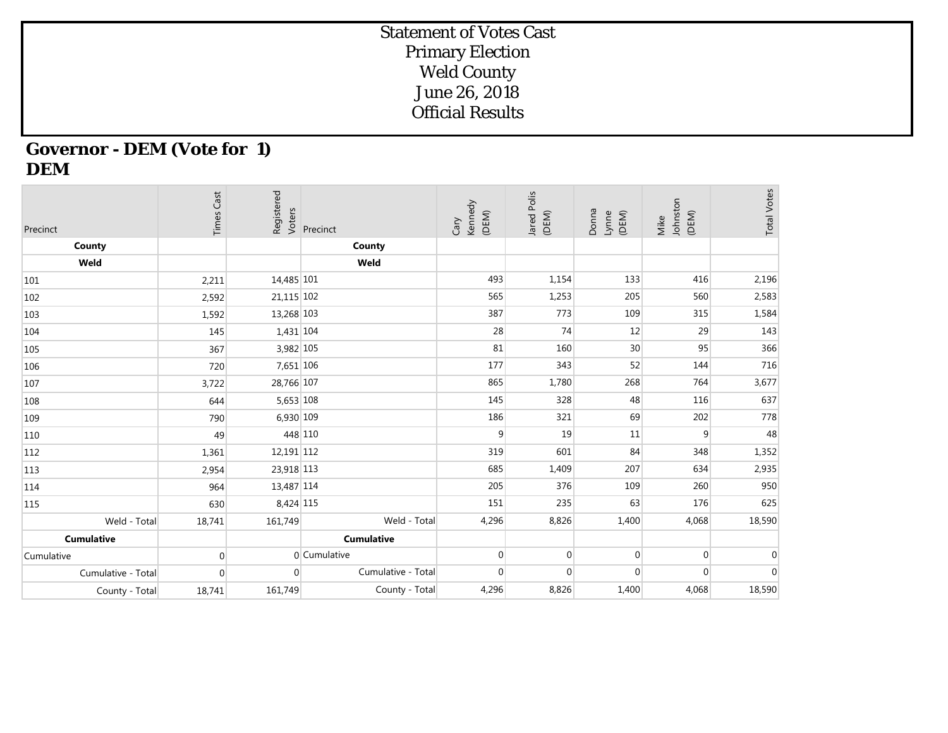## **Governor - DEM (Vote for 1) DEM**

| Precinct           | <b>Times Cast</b> | Registered<br>Voters | Precinct           | Kennedy<br>(DEM)<br>Cary | Jared Polis<br>(DEM) | Donna<br>Lynne<br>(DEM) | Johnston<br>(DEM)<br>Mike | <b>Total Votes</b> |
|--------------------|-------------------|----------------------|--------------------|--------------------------|----------------------|-------------------------|---------------------------|--------------------|
| County             |                   |                      | County             |                          |                      |                         |                           |                    |
| Weld               |                   |                      | Weld               |                          |                      |                         |                           |                    |
| 101                | 2,211             | 14,485 101           |                    | 493                      | 1,154                | 133                     | 416                       | 2,196              |
| 102                | 2,592             | 21,115 102           |                    | 565                      | 1,253                | 205                     | 560                       | 2,583              |
| 103                | 1,592             | 13,268 103           |                    | 387                      | 773                  | 109                     | 315                       | 1,584              |
| 104                | 145               | 1,431 104            |                    | 28                       | 74                   | 12                      | 29                        | 143                |
| 105                | 367               | 3,982 105            |                    | 81                       | 160                  | 30                      | 95                        | 366                |
| 106                | 720               | 7,651 106            |                    | 177                      | 343                  | 52                      | 144                       | 716                |
| 107                | 3,722             | 28,766 107           |                    | 865                      | 1,780                | 268                     | 764                       | 3,677              |
| 108                | 644               | 5,653 108            |                    | 145                      | 328                  | 48                      | 116                       | 637                |
| 109                | 790               | 6,930 109            |                    | 186                      | 321                  | 69                      | 202                       | 778                |
| 110                | 49                | 448 110              |                    | 9                        | 19                   | 11                      | 9                         | 48                 |
| 112                | 1,361             | 12,191 112           |                    | 319                      | 601                  | 84                      | 348                       | 1,352              |
| 113                | 2,954             | 23,918 113           |                    | 685                      | 1,409                | 207                     | 634                       | 2,935              |
| 114                | 964               | 13,487 114           |                    | 205                      | 376                  | 109                     | 260                       | 950                |
| 115                | 630               | 8,424 115            |                    | 151                      | 235                  | 63                      | 176                       | 625                |
| Weld - Total       | 18,741            | 161,749              | Weld - Total       | 4,296                    | 8,826                | 1,400                   | 4,068                     | 18,590             |
| <b>Cumulative</b>  |                   |                      | <b>Cumulative</b>  |                          |                      |                         |                           |                    |
| Cumulative         | $\mathbf 0$       |                      | 0 Cumulative       | $\overline{0}$           | $\mathbf{0}$         | $\mathbf 0$             | $\mathbf{0}$              | $\Omega$           |
| Cumulative - Total | $\mathbf{0}$      | $\Omega$             | Cumulative - Total | $\Omega$                 | $\mathbf{0}$         | $\mathbf{0}$            | $\Omega$                  | $\Omega$           |
| County - Total     | 18,741            | 161,749              | County - Total     | 4,296                    | 8,826                | 1,400                   | 4,068                     | 18,590             |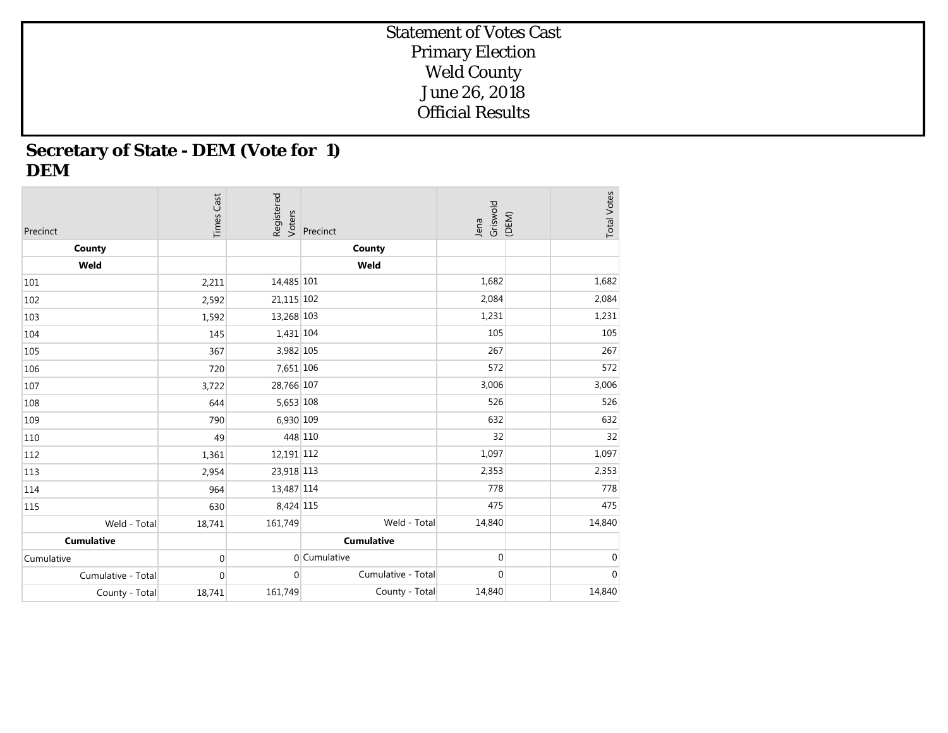## **Secretary of State - DEM (Vote for 1) DEM**

| Precinct           | <b>Times Cast</b> | Registered<br>Voters | Precinct           | Griswold<br>Jena | (DEM) | <b>Total Votes</b> |
|--------------------|-------------------|----------------------|--------------------|------------------|-------|--------------------|
| County             |                   |                      | County             |                  |       |                    |
| Weld               |                   |                      | Weld               |                  |       |                    |
| 101                | 2,211             | 14,485 101           |                    | 1,682            |       | 1,682              |
| 102                | 2,592             | 21,115 102           |                    | 2,084            |       | 2,084              |
| 103                | 1,592             | 13,268 103           |                    | 1,231            |       | 1,231              |
| 104                | 145               | 1,431 104            |                    | 105              |       | 105                |
| 105                | 367               | 3,982 105            |                    | 267              |       | 267                |
| 106                | 720               | 7,651 106            |                    | 572              |       | 572                |
| 107                | 3,722             | 28,766 107           |                    | 3,006            |       | 3,006              |
| 108                | 644               | 5,653 108            |                    | 526              |       | 526                |
| 109                | 790               | 6,930 109            |                    | 632              |       | 632                |
| 110                | 49                | 448 110              |                    | 32               |       | 32                 |
| 112                | 1,361             | 12,191 112           |                    | 1,097            |       | 1,097              |
| 113                | 2,954             | 23,918 113           |                    | 2,353            |       | 2,353              |
| 114                | 964               | 13,487 114           |                    | 778              |       | 778                |
| 115                | 630               | 8,424 115            |                    | 475              |       | 475                |
| Weld - Total       | 18,741            | 161,749              | Weld - Total       | 14,840           |       | 14,840             |
| <b>Cumulative</b>  |                   |                      | <b>Cumulative</b>  |                  |       |                    |
| Cumulative         | $\boldsymbol{0}$  |                      | 0 Cumulative       | $\mathbf 0$      |       | $\mathbf 0$        |
| Cumulative - Total | $\mathbf 0$       | $\overline{0}$       | Cumulative - Total | $\overline{0}$   |       | $\pmb{0}$          |
| County - Total     | 18,741            | 161,749              | County - Total     | 14,840           |       | 14,840             |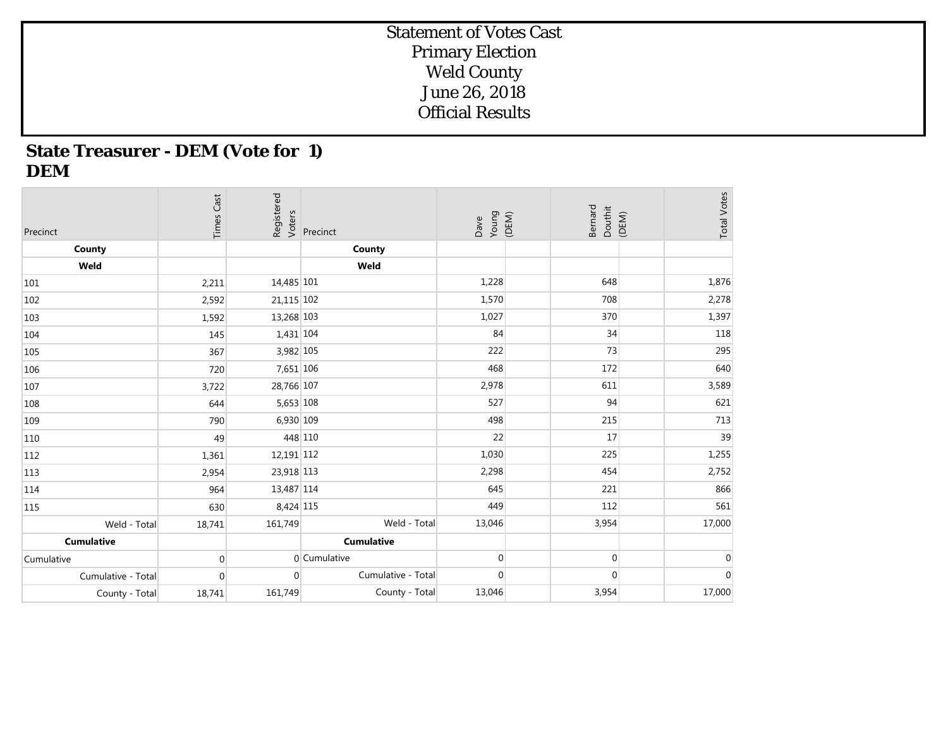## **State Treasurer - DEM (Vote for 1) DEM**

| Precinct           | <b>Times Cast</b> | Registered<br>Voters | Precinct           | Young<br>(DEM)<br>Dave | Bernard<br>Douthit<br>(DEM) | <b>Total Votes</b> |
|--------------------|-------------------|----------------------|--------------------|------------------------|-----------------------------|--------------------|
| County             |                   |                      | County             |                        |                             |                    |
| Weld               |                   |                      | Weld               |                        |                             |                    |
| 101                | 2,211             | 14,485 101           |                    | 1,228                  | 648                         | 1,876              |
| 102                | 2,592             | 21,115 102           |                    | 1,570                  | 708                         | 2,278              |
| 103                | 1,592             | 13,268 103           |                    | 1,027                  | 370                         | 1,397              |
| 104                | 145               | 1,431 104            |                    | 84                     | 34                          | 118                |
| 105                | 367               | 3,982 105            |                    | 222                    | 73                          | 295                |
| 106                | 720               | 7,651 106            |                    | 468                    | 172                         | 640                |
| 107                | 3,722             | 28,766 107           |                    | 2,978                  | 611                         | 3,589              |
| 108                | 644               | 5,653 108            |                    | 527                    | 94                          | 621                |
| 109                | 790               | 6,930 109            |                    | 498                    | 215                         | 713                |
| 110                | 49                |                      | 448 110            | 22                     | 17                          | 39                 |
| 112                | 1,361             | 12,191 112           |                    | 1,030                  | 225                         | 1,255              |
| 113                | 2,954             | 23,918 113           |                    | 2,298                  | 454                         | 2,752              |
| 114                | 964               | 13,487 114           |                    | 645                    | 221                         | 866                |
| 115                | 630               | 8,424 115            |                    | 449                    | 112                         | 561                |
| Weld - Total       | 18,741            | 161,749              | Weld - Total       | 13,046                 | 3,954                       | 17,000             |
| <b>Cumulative</b>  |                   |                      | <b>Cumulative</b>  |                        |                             |                    |
| Cumulative         | $\mathbf{0}$      |                      | 0 Cumulative       | $\overline{0}$         | $\overline{0}$              | $\mathbf 0$        |
| Cumulative - Total | $\mathbf{0}$      | $\Omega$             | Cumulative - Total | $\overline{0}$         | $\mathbf 0$                 | $\boldsymbol{0}$   |
| County - Total     | 18,741            | 161,749              | County - Total     | 13,046                 | 3,954                       | 17,000             |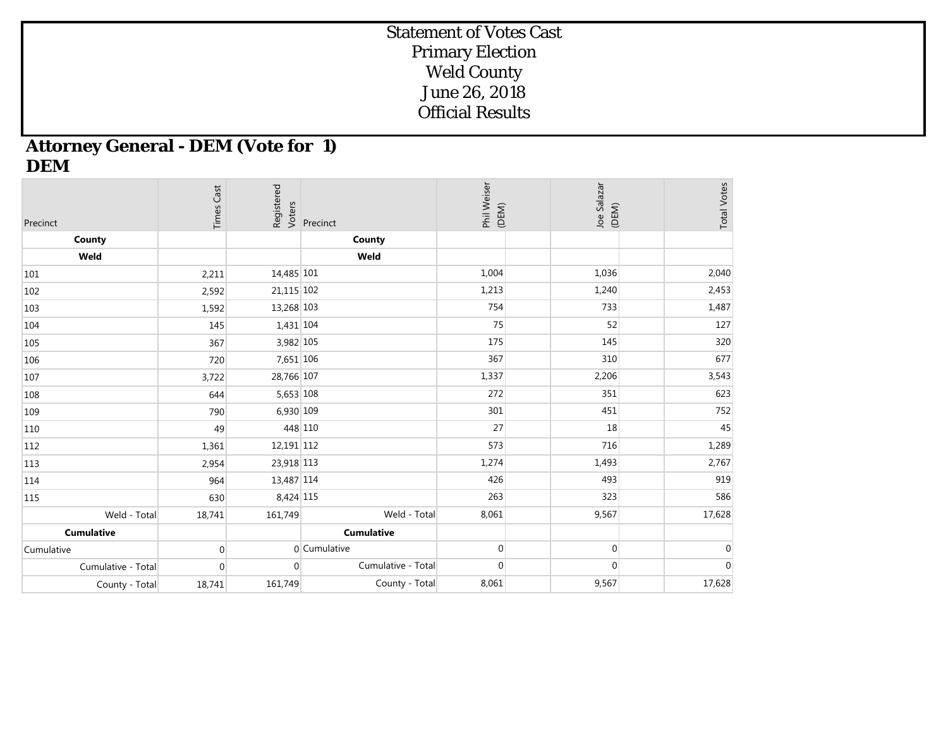## **Attorney General - DEM (Vote for 1) DEM**

| Precinct           | <b>Times Cast</b> | Registered<br>Voters | Precinct           | Phil Weiser<br>(DEM) | Joe Salazar<br>(DEM) | <b>Total Votes</b> |
|--------------------|-------------------|----------------------|--------------------|----------------------|----------------------|--------------------|
| County             |                   |                      | County             |                      |                      |                    |
| Weld               |                   |                      | Weld               |                      |                      |                    |
| 101                | 2,211             | 14,485 101           |                    | 1,004                | 1,036                | 2,040              |
| 102                | 2,592             | 21,115 102           |                    | 1,213                | 1,240                | 2,453              |
| 103                | 1,592             | 13,268 103           |                    | 754                  | 733                  | 1,487              |
| 104                | 145               | 1,431 104            |                    | 75                   | 52                   | 127                |
| 105                | 367               | 3,982 105            |                    | 175                  | 145                  | 320                |
| 106                | 720               | 7,651 106            |                    | 367                  | 310                  | 677                |
| 107                | 3,722             | 28,766 107           |                    | 1,337                | 2,206                | 3,543              |
| 108                | 644               | 5,653 108            |                    | 272                  | 351                  | 623                |
| 109                | 790               | 6,930 109            |                    | 301                  | 451                  | 752                |
| 110                | 49                |                      | 448 110            | 27                   | 18                   | 45                 |
| 112                | 1,361             | 12,191 112           |                    | 573                  | 716                  | 1,289              |
| 113                | 2,954             | 23,918 113           |                    | 1,274                | 1,493                | 2,767              |
| 114                | 964               | 13,487 114           |                    | 426                  | 493                  | 919                |
| 115                | 630               | 8,424 115            |                    | 263                  | 323                  | 586                |
| Weld - Total       | 18,741            | 161,749              | Weld - Total       | 8,061                | 9,567                | 17,628             |
| <b>Cumulative</b>  |                   |                      | <b>Cumulative</b>  |                      |                      |                    |
| Cumulative         | $\Omega$          |                      | 0 Cumulative       | $\overline{0}$       | $\boldsymbol{0}$     | $\overline{0}$     |
| Cumulative - Total | $\mathbf{0}$      | $\Omega$             | Cumulative - Total | $\boldsymbol{0}$     | $\boldsymbol{0}$     | $\mathbf 0$        |
| County - Total     | 18,741            | 161,749              | County - Total     | 8,061                | 9,567                | 17,628             |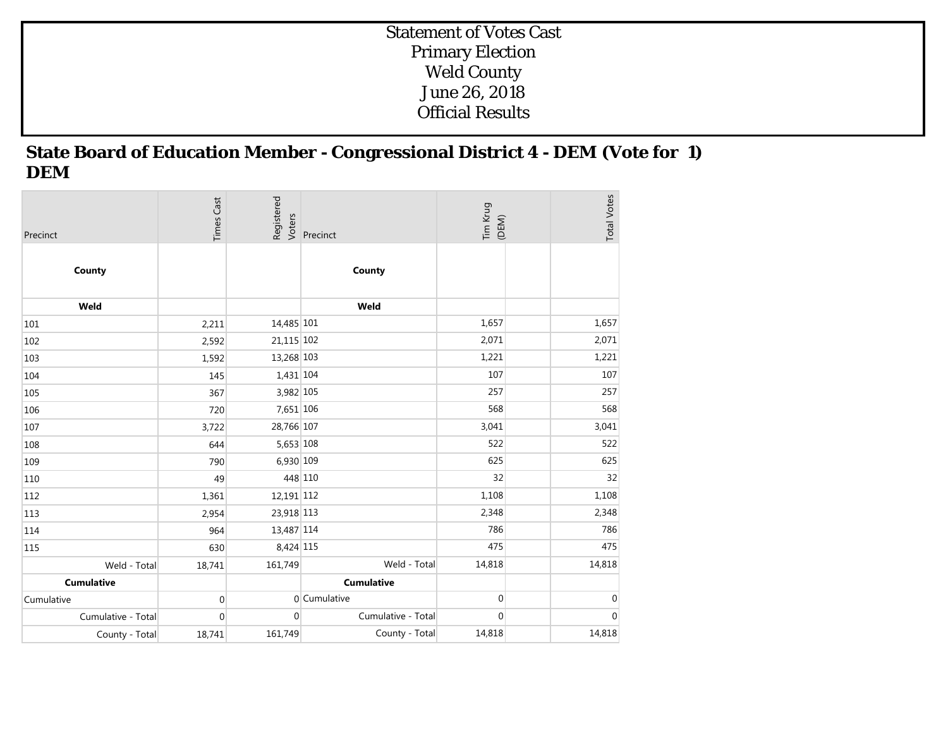## **State Board of Education Member - Congressional District 4 - DEM (Vote for 1) DEM**

| Precinct           | <b>Times Cast</b> | Registered<br>Voters | Precinct           | Tim Krug<br>(DEM) | <b>Total Votes</b> |
|--------------------|-------------------|----------------------|--------------------|-------------------|--------------------|
| County             |                   |                      | County             |                   |                    |
| Weld               |                   |                      | Weld               |                   |                    |
| 101                | 2,211             | 14,485 101           |                    | 1,657             | 1,657              |
| 102                | 2,592             | 21,115 102           |                    | 2,071             | 2,071              |
| 103                | 1,592             | 13,268 103           |                    | 1,221             | 1,221              |
| 104                | 145               | 1,431 104            |                    | 107               | 107                |
| 105                | 367               | 3,982 105            |                    | 257               | 257                |
| 106                | 720               | 7,651 106            |                    | 568               | 568                |
| 107                | 3,722             | 28,766 107           |                    | 3,041             | 3,041              |
| 108                | 644               | 5,653 108            |                    | 522               | 522                |
| 109                | 790               | 6,930 109            |                    | 625               | 625                |
| 110                | 49                | 448 110              |                    | 32                | 32                 |
| 112                | 1,361             | 12,191 112           |                    | 1,108             | 1,108              |
| 113                | 2,954             | 23,918 113           |                    | 2,348             | 2,348              |
| 114                | 964               | 13,487 114           |                    | 786               | 786                |
| 115                | 630               | 8,424 115            |                    | 475               | 475                |
| Weld - Total       | 18,741            | 161,749              | Weld - Total       | 14,818            | 14,818             |
| <b>Cumulative</b>  |                   |                      | <b>Cumulative</b>  |                   |                    |
| Cumulative         | $\mathbf 0$       |                      | 0 Cumulative       | $\mathbf 0$       | $\mathbf 0$        |
| Cumulative - Total | $\mathbf{0}$      | $\overline{0}$       | Cumulative - Total | $\mathbf{0}$      | $\mathbf 0$        |
| County - Total     | 18,741            | 161,749              | County - Total     | 14,818            | 14,818             |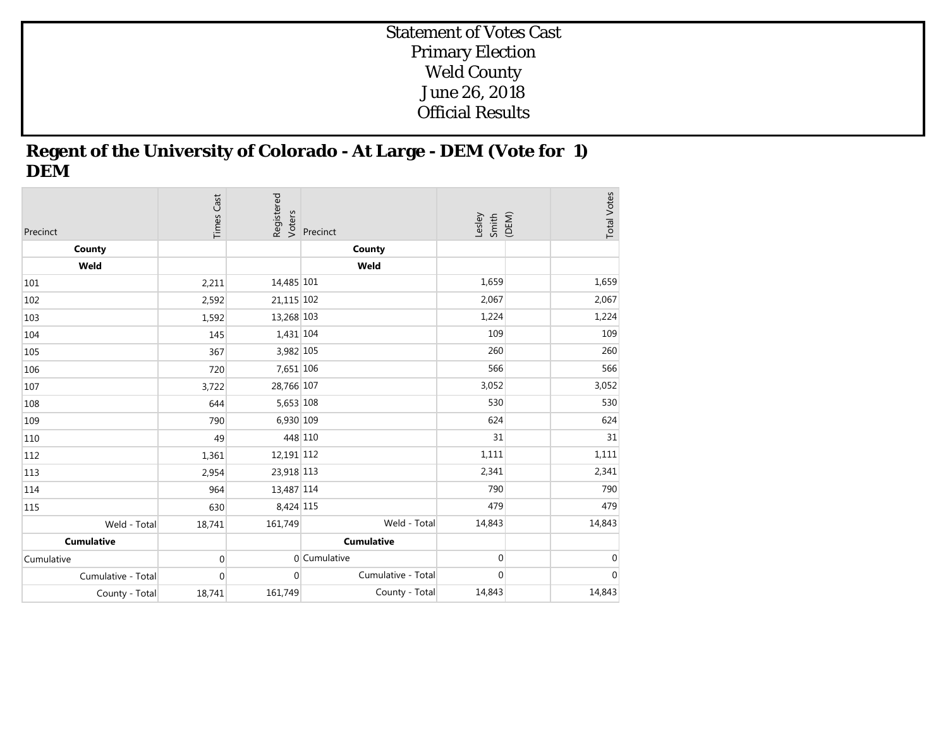## **Regent of the University of Colorado - At Large - DEM (Vote for 1) DEM**

| Precinct           | <b>Times Cast</b> | Registered<br>Voters | Precinct           | Lesley<br>Smith<br>(DEM) | <b>Total Votes</b> |
|--------------------|-------------------|----------------------|--------------------|--------------------------|--------------------|
| County             |                   |                      | County             |                          |                    |
| Weld               |                   |                      | Weld               |                          |                    |
| 101                | 2,211             | 14,485 101           |                    | 1,659                    | 1,659              |
| 102                | 2,592             | 21,115 102           |                    | 2,067                    | 2,067              |
| 103                | 1,592             | 13,268 103           |                    | 1,224                    | 1,224              |
| 104                | 145               | 1,431 104            |                    | 109                      | 109                |
| 105                | 367               | 3,982 105            |                    | 260                      | 260                |
| 106                | 720               | 7,651 106            |                    | 566                      | 566                |
| 107                | 3,722             | 28,766 107           |                    | 3,052                    | 3,052              |
| 108                | 644               | 5,653 108            |                    | 530                      | 530                |
| 109                | 790               | 6,930 109            |                    | 624                      | 624                |
| 110                | 49                | 448 110              |                    | 31                       | 31                 |
| 112                | 1,361             | 12,191 112           |                    | 1,111                    | 1,111              |
| 113                | 2,954             | 23,918 113           |                    | 2,341                    | 2,341              |
| 114                | 964               | 13,487 114           |                    | 790                      | 790                |
| 115                | 630               | 8,424 115            |                    | 479                      | 479                |
| Weld - Total       | 18,741            | 161,749              | Weld - Total       | 14,843                   | 14,843             |
| <b>Cumulative</b>  |                   |                      | <b>Cumulative</b>  |                          |                    |
| Cumulative         | $\mathbf 0$       |                      | 0 Cumulative       | $\overline{0}$           | $\mathbf 0$        |
| Cumulative - Total | $\mathbf 0$       | $\overline{0}$       | Cumulative - Total | $\overline{0}$           | $\pmb{0}$          |
| County - Total     | 18,741            | 161,749              | County - Total     | 14,843                   | 14,843             |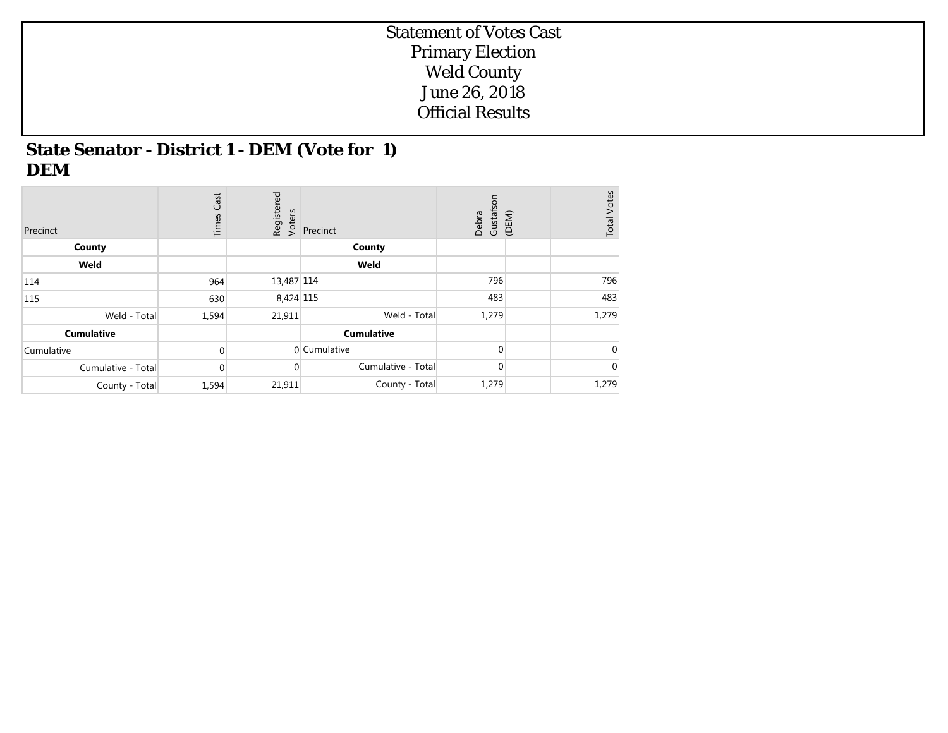## **State Senator - District 1 - DEM (Vote for 1) DEM**

| Precinct           | Cast<br>Times | Registered<br>Voters | Precinct           | Gustafson<br>Debra | <b>Total Votes</b><br>(DEM) |
|--------------------|---------------|----------------------|--------------------|--------------------|-----------------------------|
| County             |               |                      | County             |                    |                             |
| Weld               |               |                      | Weld               |                    |                             |
| 114                | 964           | 13,487 114           |                    | 796                | 796                         |
| 115                | 630           | 8,424 115            |                    | 483                | 483                         |
| Weld - Total       | 1,594         | 21,911               | Weld - Total       | 1,279              | 1,279                       |
| <b>Cumulative</b>  |               |                      | <b>Cumulative</b>  |                    |                             |
| Cumulative         | $\Omega$      |                      | 0 Cumulative       | $\Omega$           | $\overline{0}$              |
| Cumulative - Total | $\Omega$      | $\mathbf 0$          | Cumulative - Total | 0                  | $\overline{0}$              |
| County - Total     | 1,594         | 21,911               | County - Total     | 1,279              | 1,279                       |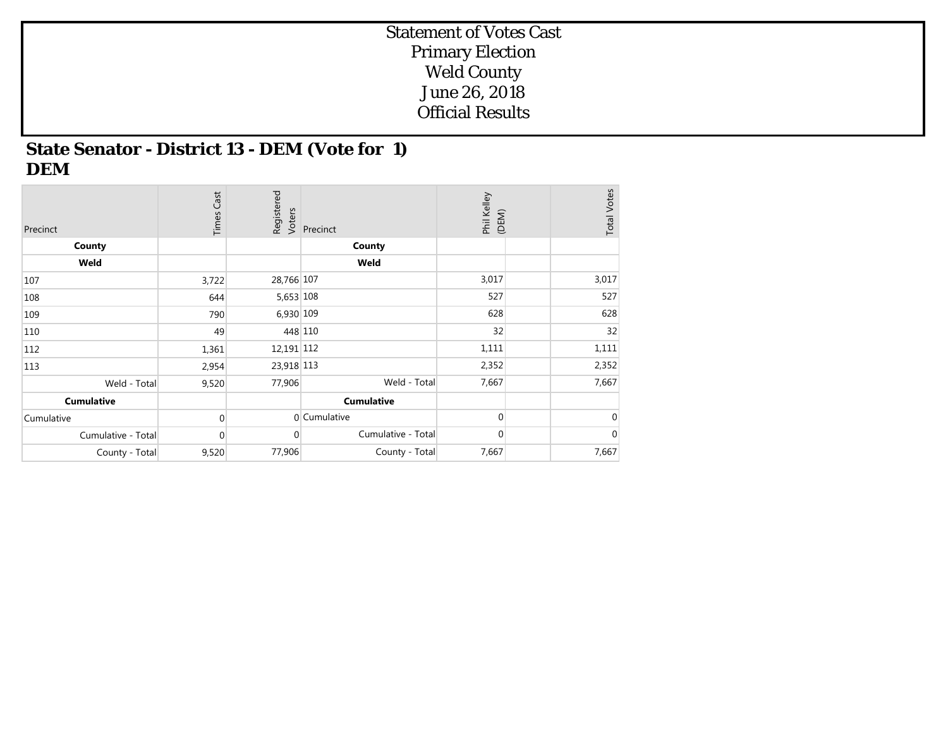## **State Senator - District 13 - DEM (Vote for 1) DEM**

| Precinct           | <b>Times Cast</b> | Registered<br>Voters | Precinct           | Phil Kelley<br>(DEM) | <b>Total Votes</b> |
|--------------------|-------------------|----------------------|--------------------|----------------------|--------------------|
| County             |                   |                      | County             |                      |                    |
| Weld               |                   |                      | Weld               |                      |                    |
| 107                | 3,722             | 28,766 107           |                    | 3,017                | 3,017              |
| 108                | 644               | 5,653 108            |                    | 527                  | 527                |
| 109                | 790               | 6,930 109            |                    | 628                  | 628                |
| 110                | 49                |                      | 448 110            | 32                   | 32                 |
| 112                | 1,361             | 12,191 112           |                    | 1,111                | 1,111              |
| 113                | 2,954             | 23,918 113           |                    | 2,352                | 2,352              |
| Weld - Total       | 9,520             | 77,906               | Weld - Total       | 7,667                | 7,667              |
| <b>Cumulative</b>  |                   |                      | <b>Cumulative</b>  |                      |                    |
| Cumulative         | $\Omega$          |                      | 0 Cumulative       | $\Omega$             | $\mathbf{0}$       |
| Cumulative - Total | 0                 | $\overline{0}$       | Cumulative - Total | $\mathbf 0$          | $\mathbf 0$        |
| County - Total     | 9,520             | 77,906               | County - Total     | 7,667                | 7,667              |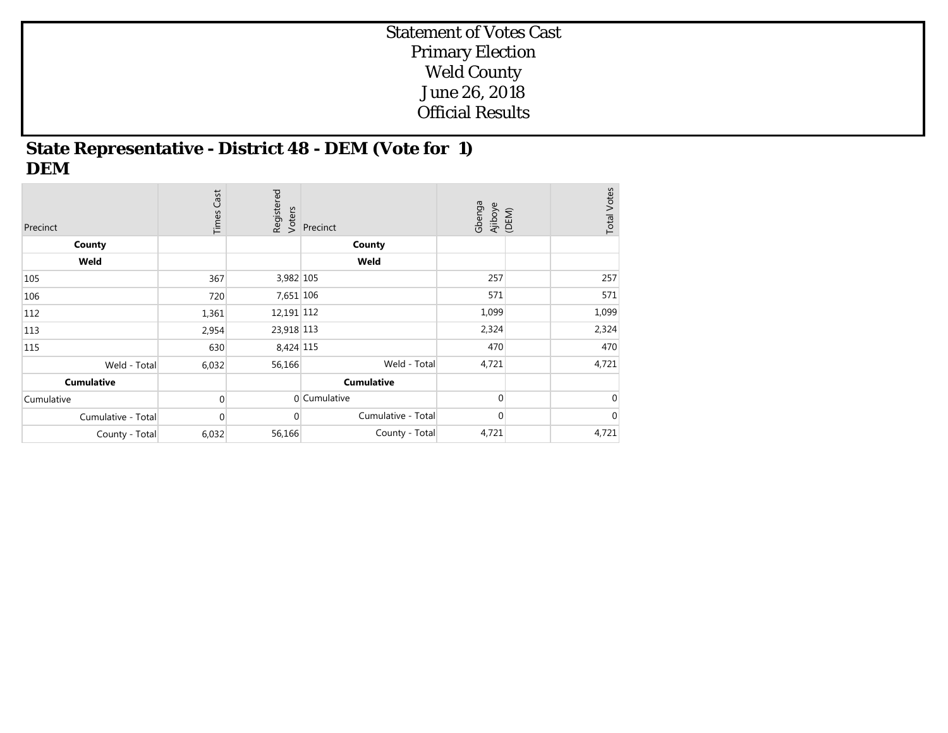## **State Representative - District 48 - DEM (Vote for 1) DEM**

| Precinct           | <b>Times Cast</b> | Registered<br>Voters | Precinct           | Gbenga<br>Ajiboye<br>(DEM) | <b>Total Votes</b> |
|--------------------|-------------------|----------------------|--------------------|----------------------------|--------------------|
| County             |                   |                      | County             |                            |                    |
| Weld               |                   |                      | Weld               |                            |                    |
| 105                | 367               | 3,982 105            |                    | 257                        | 257                |
| 106                | 720               | 7,651 106            |                    | 571                        | 571                |
| 112                | 1,361             | 12,191 112           |                    | 1,099                      | 1,099              |
| 113                | 2,954             | 23,918 113           |                    | 2,324                      | 2,324              |
| 115                | 630               | 8,424 115            |                    | 470                        | 470                |
| Weld - Total       | 6,032             | 56,166               | Weld - Total       | 4,721                      | 4,721              |
| <b>Cumulative</b>  |                   |                      | <b>Cumulative</b>  |                            |                    |
| Cumulative         | $\Omega$          |                      | 0 Cumulative       | $\Omega$                   | 0                  |
| Cumulative - Total | $\mathbf 0$       | $\overline{0}$       | Cumulative - Total | $\overline{0}$             | $\mathbf 0$        |
| County - Total     | 6,032             | 56,166               | County - Total     | 4,721                      | 4,721              |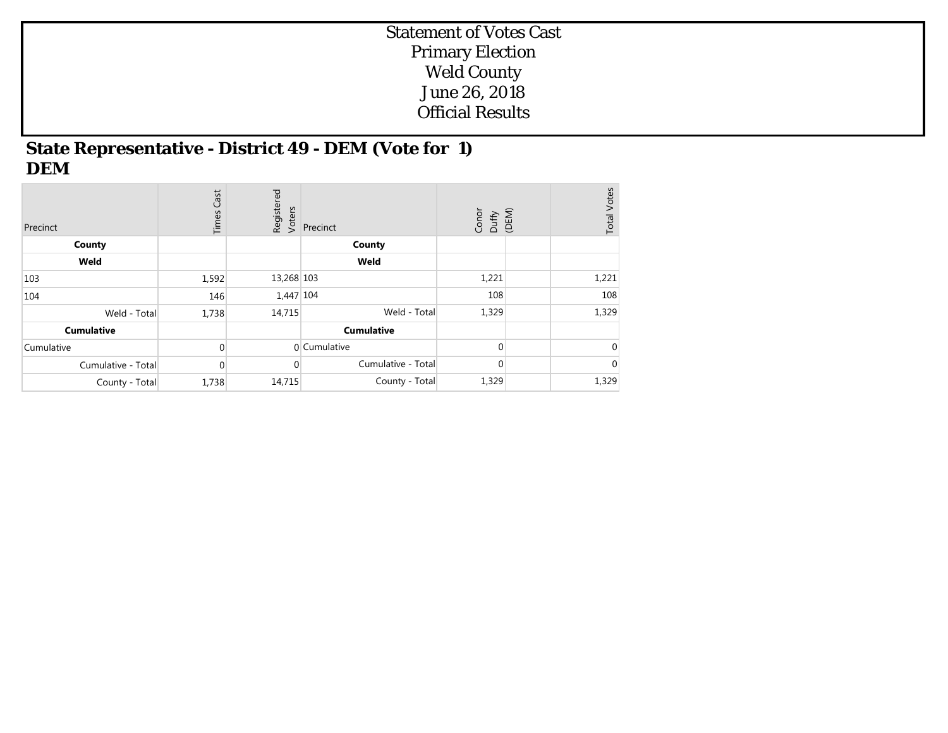## **State Representative - District 49 - DEM (Vote for 1) DEM**

| Precinct           | Cast<br>Times | Registered<br>Voters | Precinct           | Conor<br>Duffy<br>(DEM) | <b>Total Votes</b> |
|--------------------|---------------|----------------------|--------------------|-------------------------|--------------------|
| County             |               |                      | County             |                         |                    |
| Weld               |               |                      | Weld               |                         |                    |
| 103                | 1,592         | 13,268 103           |                    | 1,221                   | 1,221              |
| 104                | 146           | 1,447 104            |                    | 108                     | 108                |
| Weld - Total       | 1,738         | 14,715               | Weld - Total       | 1,329                   | 1,329              |
| <b>Cumulative</b>  |               |                      | <b>Cumulative</b>  |                         |                    |
| Cumulative         | $\Omega$      |                      | 0 Cumulative       | $\Omega$                | $\overline{0}$     |
| Cumulative - Total | $\mathbf{0}$  | $\Omega$             | Cumulative - Total | $\overline{0}$          | $\overline{0}$     |
| County - Total     | 1,738         | 14,715               | County - Total     | 1,329                   | 1,329              |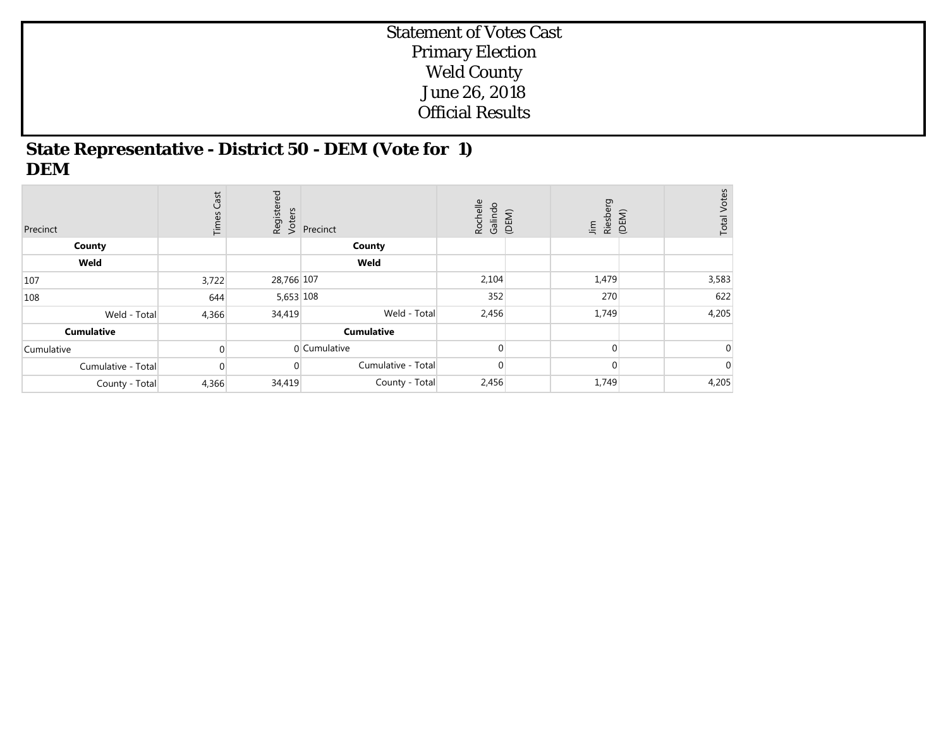#### **State Representative - District 50 - DEM (Vote for 1) DEM**

| Precinct           | <b>Times Cast</b> | Registered<br>Voters | Precinct           | Rochelle<br>Galindo | (DEM) | Riesberg<br>$\underline{\mathsf{F}}$ | (DEM) | <b>Total Votes</b> |
|--------------------|-------------------|----------------------|--------------------|---------------------|-------|--------------------------------------|-------|--------------------|
| County             |                   |                      | County             |                     |       |                                      |       |                    |
| Weld               |                   |                      | Weld               |                     |       |                                      |       |                    |
| 107                | 3,722             | 28,766 107           |                    | 2,104               |       | 1,479                                |       | 3,583              |
| 108                | 644               | 5,653 108            |                    | 352                 |       | 270                                  |       | 622                |
| Weld - Total       | 4,366             | 34,419               | Weld - Total       | 2,456               |       | 1,749                                |       | 4,205              |
| <b>Cumulative</b>  |                   |                      | <b>Cumulative</b>  |                     |       |                                      |       |                    |
| Cumulative         | $\Omega$          |                      | 0 Cumulative       |                     |       | $\Omega$                             |       | $\Omega$           |
| Cumulative - Total | $\Omega$          |                      | Cumulative - Total | $\Omega$            |       | $\Omega$                             |       | $\overline{0}$     |
| County - Total     | 4,366             | 34,419               | County - Total     | 2,456               |       | 1,749                                |       | 4,205              |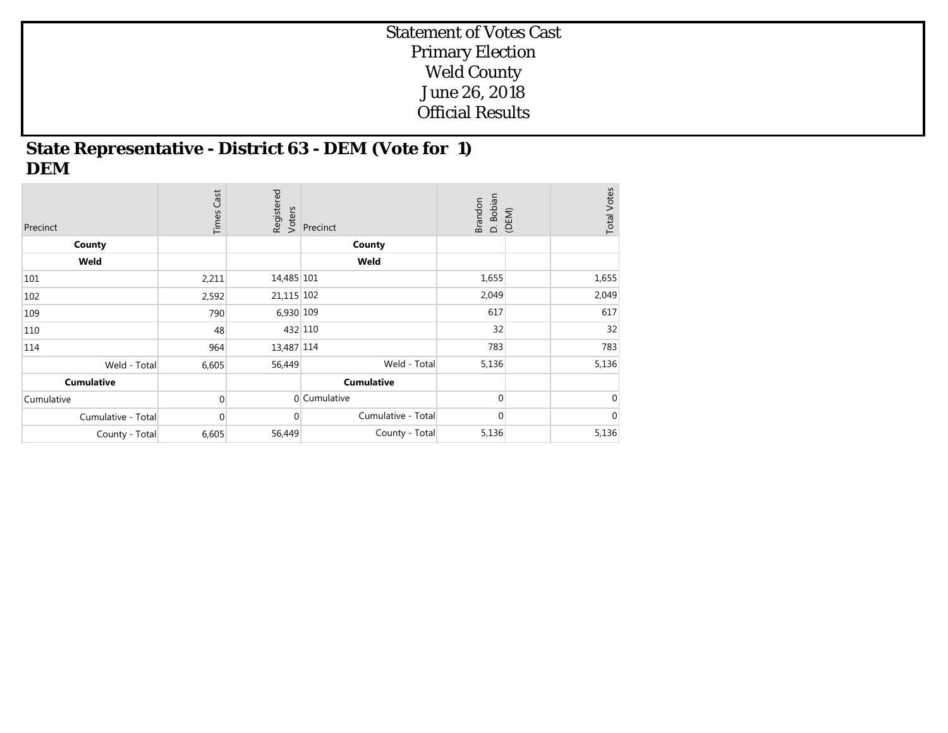## **State Representative - District 63 - DEM (Vote for 1) DEM**

| Precinct           | <b>Times Cast</b> | Registered<br>Voters | Precinct           | D. Bobian<br>(DEM)<br><b>Brandon</b> | <b>Total Votes</b> |
|--------------------|-------------------|----------------------|--------------------|--------------------------------------|--------------------|
| County             |                   |                      | County             |                                      |                    |
| Weld               |                   |                      | Weld               |                                      |                    |
| 101                | 2,211             | 14,485 101           |                    | 1,655                                | 1,655              |
| 102                | 2,592             | 21,115 102           |                    | 2,049                                | 2,049              |
| 109                | 790               | 6,930 109            |                    | 617                                  | 617                |
| 110                | 48                |                      | 432 110            | 32                                   | 32                 |
| 114                | 964               | 13,487 114           |                    | 783                                  | 783                |
| Weld - Total       | 6,605             | 56,449               | Weld - Total       | 5,136                                | 5,136              |
| <b>Cumulative</b>  |                   |                      | <b>Cumulative</b>  |                                      |                    |
| Cumulative         | $\Omega$          |                      | 0 Cumulative       | $\Omega$                             | $\mathbf 0$        |
| Cumulative - Total | $\mathbf 0$       | $\Omega$             | Cumulative - Total | $\overline{0}$                       | $\mathbf 0$        |
| County - Total     | 6,605             | 56,449               | County - Total     | 5,136                                | 5,136              |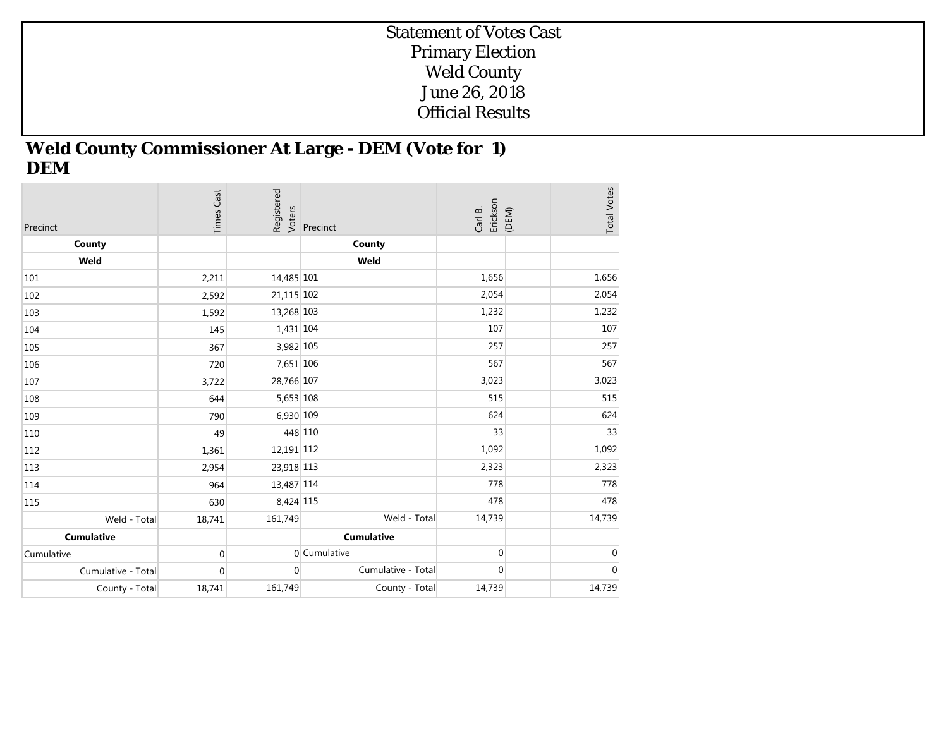## **Weld County Commissioner At Large - DEM (Vote for 1) DEM**

| Precinct           | <b>Times Cast</b> | Registered<br>Voters | Precinct           | Erickson<br>Carl B. | (DEM) | <b>Total Votes</b> |
|--------------------|-------------------|----------------------|--------------------|---------------------|-------|--------------------|
| County             |                   |                      | County             |                     |       |                    |
| Weld               |                   |                      | Weld               |                     |       |                    |
| 101                | 2,211             | 14,485 101           |                    | 1,656               |       | 1,656              |
| 102                | 2,592             | 21,115 102           |                    | 2,054               |       | 2,054              |
| 103                | 1,592             | 13,268 103           |                    | 1,232               |       | 1,232              |
| 104                | 145               | 1,431 104            |                    | 107                 |       | 107                |
| 105                | 367               | 3,982 105            |                    | 257                 |       | 257                |
| 106                | 720               | 7,651 106            |                    | 567                 |       | 567                |
| 107                | 3,722             | 28,766 107           |                    | 3,023               |       | 3,023              |
| 108                | 644               | 5,653 108            |                    | 515                 |       | 515                |
| 109                | 790               | 6,930 109            |                    | 624                 |       | 624                |
| 110                | 49                |                      | 448 110            | 33                  |       | 33                 |
| 112                | 1,361             | 12,191 112           |                    | 1,092               |       | 1,092              |
| 113                | 2,954             | 23,918 113           |                    | 2,323               |       | 2,323              |
| 114                | 964               | 13,487 114           |                    | 778                 |       | 778                |
| 115                | 630               | 8,424 115            |                    | 478                 |       | 478                |
| Weld - Total       | 18,741            | 161,749              | Weld - Total       | 14,739              |       | 14,739             |
| <b>Cumulative</b>  |                   |                      | <b>Cumulative</b>  |                     |       |                    |
| Cumulative         | $\boldsymbol{0}$  |                      | 0 Cumulative       | $\overline{0}$      |       | $\mathbf 0$        |
| Cumulative - Total | $\mathbf{0}$      | $\overline{0}$       | Cumulative - Total | $\overline{0}$      |       | $\pmb{0}$          |
| County - Total     | 18,741            | 161,749              | County - Total     | 14,739              |       | 14,739             |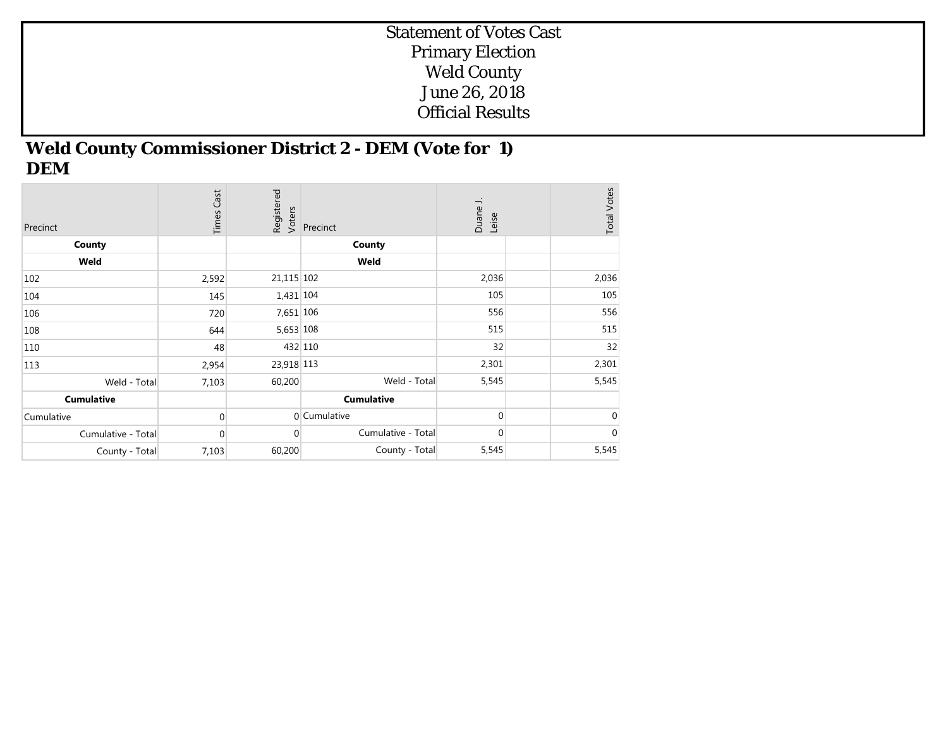## **Weld County Commissioner District 2 - DEM (Vote for 1) DEM**

| Precinct           | <b>Times Cast</b> | Registered<br>Voters | Precinct           | Duane J.<br>Leise | <b>Total Votes</b> |
|--------------------|-------------------|----------------------|--------------------|-------------------|--------------------|
| County             |                   |                      | County             |                   |                    |
| Weld               |                   |                      | Weld               |                   |                    |
| 102                | 2,592             | 21,115 102           |                    | 2,036             | 2,036              |
| 104                | 145               | 1,431 104            |                    | 105               | 105                |
| 106                | 720               | 7,651 106            |                    | 556               | 556                |
| 108                | 644               | 5,653 108            |                    | 515               | 515                |
| 110                | 48                |                      | 432 110            | 32                | 32                 |
| 113                | 2,954             | 23,918 113           |                    | 2,301             | 2,301              |
| Weld - Total       | 7,103             | 60,200               | Weld - Total       | 5,545             | 5,545              |
| <b>Cumulative</b>  |                   |                      | <b>Cumulative</b>  |                   |                    |
| Cumulative         | $\mathbf{0}$      |                      | 0 Cumulative       | $\Omega$          | $\mathbf 0$        |
| Cumulative - Total | $\mathbf{0}$      | $\overline{0}$       | Cumulative - Total | $\mathbf 0$       | 0                  |
| County - Total     | 7,103             | 60,200               | County - Total     | 5,545             | 5,545              |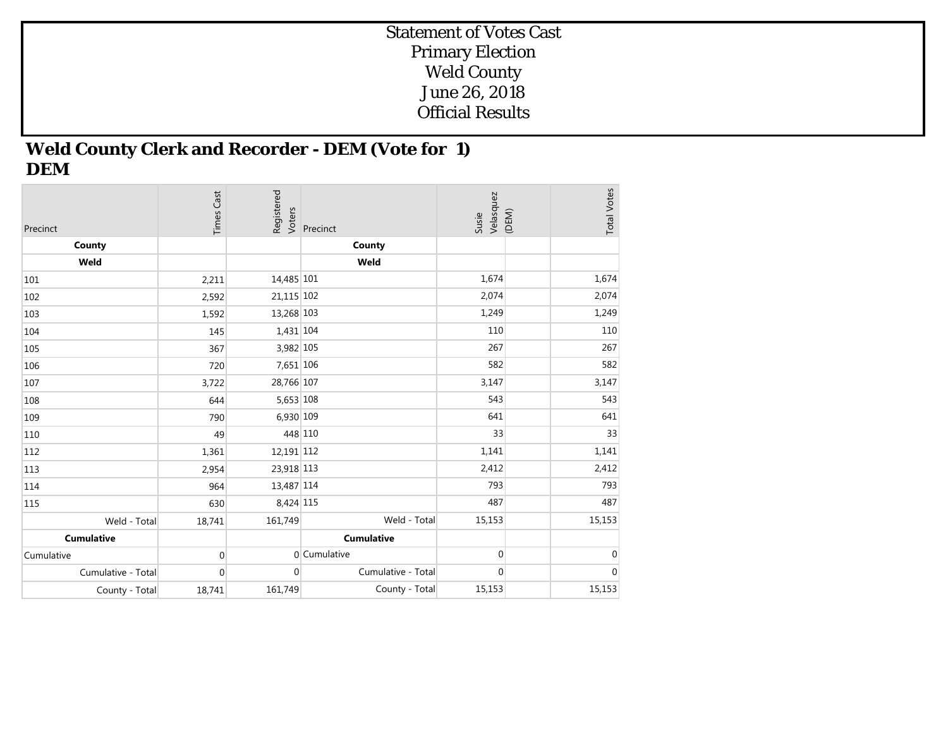## **Weld County Clerk and Recorder - DEM (Vote for 1) DEM**

| Precinct           | <b>Times Cast</b> | Registered<br>Voters | Precinct           | Velasquez<br>Susie | (DEM) | <b>Total Votes</b> |
|--------------------|-------------------|----------------------|--------------------|--------------------|-------|--------------------|
| County             |                   |                      | County             |                    |       |                    |
| Weld               |                   |                      | Weld               |                    |       |                    |
| 101                | 2,211             | 14,485 101           |                    | 1,674              |       | 1,674              |
| 102                | 2,592             | 21,115 102           |                    | 2,074              |       | 2,074              |
| 103                | 1,592             | 13,268 103           |                    | 1,249              |       | 1,249              |
| 104                | 145               | 1,431 104            |                    | 110                |       | 110                |
| 105                | 367               | 3,982 105            |                    | 267                |       | 267                |
| 106                | 720               | 7,651 106            |                    | 582                |       | 582                |
| 107                | 3,722             | 28,766 107           |                    | 3,147              |       | 3,147              |
| 108                | 644               | 5,653 108            |                    | 543                |       | 543                |
| 109                | 790               | 6,930 109            |                    | 641                |       | 641                |
| 110                | 49                |                      | 448 110            | 33                 |       | 33                 |
| 112                | 1,361             | 12,191 112           |                    | 1,141              |       | 1,141              |
| 113                | 2,954             | 23,918 113           |                    | 2,412              |       | 2,412              |
| 114                | 964               | 13,487 114           |                    | 793                |       | 793                |
| 115                | 630               | 8,424 115            |                    | 487                |       | 487                |
| Weld - Total       | 18,741            | 161,749              | Weld - Total       | 15,153             |       | 15,153             |
| <b>Cumulative</b>  |                   |                      | <b>Cumulative</b>  |                    |       |                    |
| Cumulative         | $\mathbf 0$       |                      | 0 Cumulative       | $\overline{0}$     |       | $\mathbf 0$        |
| Cumulative - Total | 0                 | $\overline{0}$       | Cumulative - Total | $\overline{0}$     |       | $\boldsymbol{0}$   |
| County - Total     | 18,741            | 161,749              | County - Total     | 15,153             |       | 15,153             |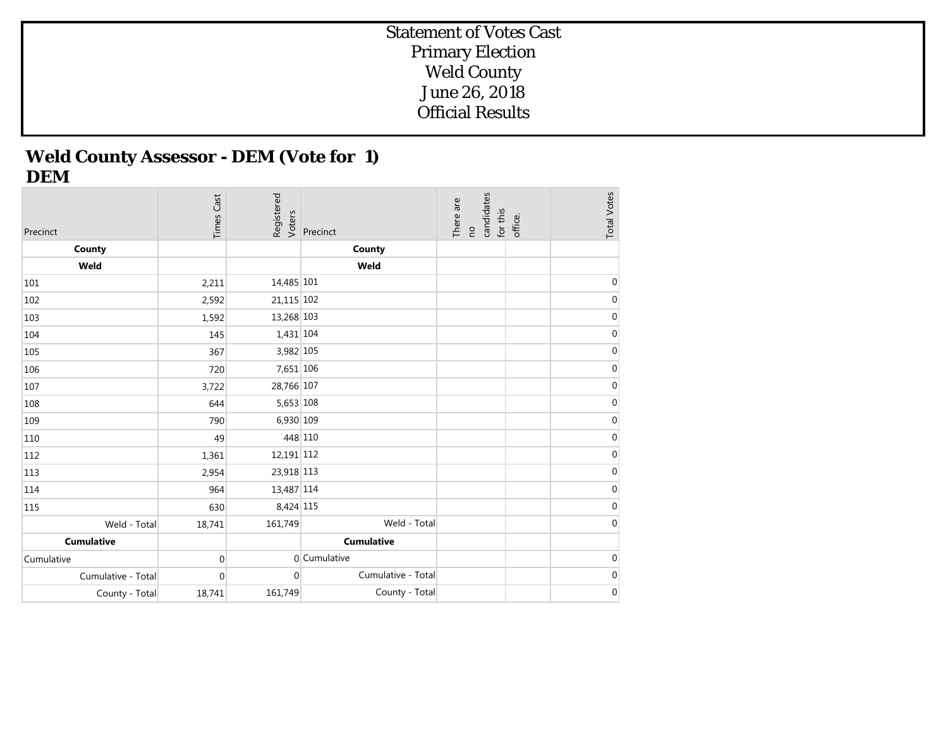# **Weld County Assessor - DEM (Vote for 1) DEM**

| Precinct           | <b>Times Cast</b> | Registered<br>Voters | Precinct           | candidates<br>There are<br>for this<br>$\overline{c}$ | office. | <b>Total Votes</b> |
|--------------------|-------------------|----------------------|--------------------|-------------------------------------------------------|---------|--------------------|
| County             |                   |                      | County             |                                                       |         |                    |
| Weld               |                   |                      | Weld               |                                                       |         |                    |
| 101                | 2,211             | 14,485 101           |                    |                                                       |         | $\mathbf 0$        |
| 102                | 2,592             | 21,115 102           |                    |                                                       |         | $\boldsymbol{0}$   |
| 103                | 1,592             | 13,268 103           |                    |                                                       |         | $\pmb{0}$          |
| 104                | 145               | 1,431 104            |                    |                                                       |         | $\boldsymbol{0}$   |
| 105                | 367               | 3,982 105            |                    |                                                       |         | $\boldsymbol{0}$   |
| 106                | 720               | 7,651 106            |                    |                                                       |         | $\boldsymbol{0}$   |
| 107                | 3,722             | 28,766 107           |                    |                                                       |         | $\boldsymbol{0}$   |
| 108                | 644               | 5,653 108            |                    |                                                       |         | $\boldsymbol{0}$   |
| 109                | 790               | 6,930 109            |                    |                                                       |         | $\boldsymbol{0}$   |
| 110                | 49                | 448 110              |                    |                                                       |         | $\boldsymbol{0}$   |
| 112                | 1,361             | 12,191 112           |                    |                                                       |         | $\boldsymbol{0}$   |
| 113                | 2,954             | 23,918 113           |                    |                                                       |         | $\pmb{0}$          |
| 114                | 964               | 13,487 114           |                    |                                                       |         | $\boldsymbol{0}$   |
| 115                | 630               | 8,424 115            |                    |                                                       |         | $\boldsymbol{0}$   |
| Weld - Total       | 18,741            | 161,749              | Weld - Total       |                                                       |         | $\boldsymbol{0}$   |
| <b>Cumulative</b>  |                   |                      | <b>Cumulative</b>  |                                                       |         |                    |
| Cumulative         | $\mathbf 0$       |                      | 0 Cumulative       |                                                       |         | $\boldsymbol{0}$   |
| Cumulative - Total | $\mathbf{0}$      | $\mathbf 0$          | Cumulative - Total |                                                       |         | $\boldsymbol{0}$   |
| County - Total     | 18,741            | 161,749              | County - Total     |                                                       |         | $\boldsymbol{0}$   |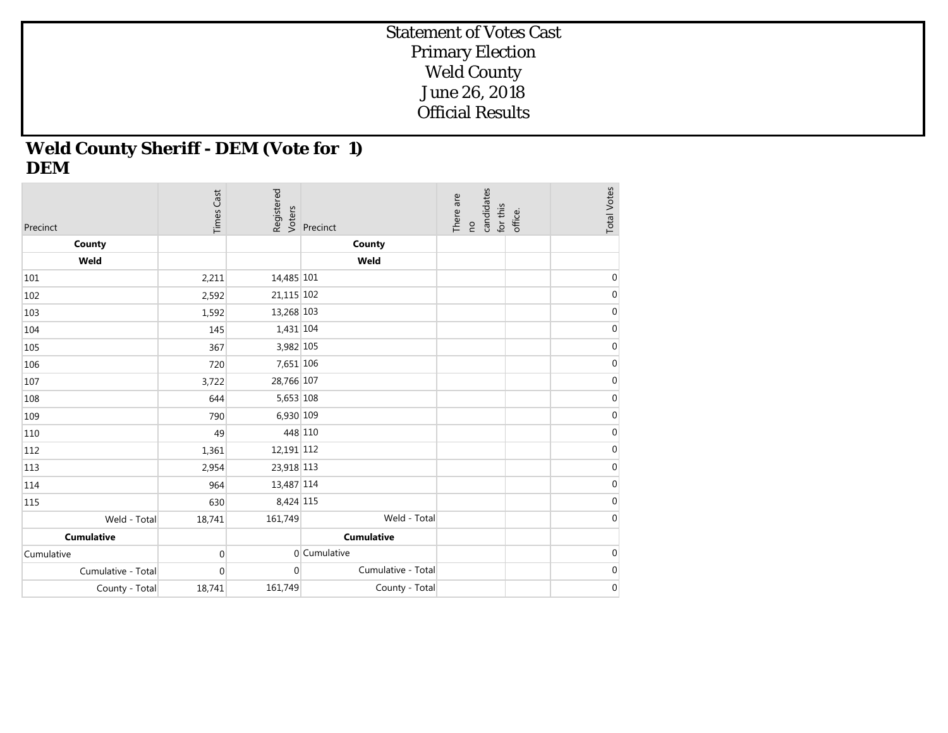## **Weld County Sheriff - DEM (Vote for 1) DEM**

| Precinct           | <b>Times Cast</b> | Registered<br>Voters | Precinct           | candidates<br>There are<br>for this<br>$\overline{c}$ | office. | <b>Total Votes</b> |
|--------------------|-------------------|----------------------|--------------------|-------------------------------------------------------|---------|--------------------|
| County             |                   |                      | County             |                                                       |         |                    |
| Weld               |                   |                      | Weld               |                                                       |         |                    |
| 101                | 2,211             | 14,485 101           |                    |                                                       |         | $\mathbf 0$        |
| 102                | 2,592             | 21,115 102           |                    |                                                       |         | $\pmb{0}$          |
| 103                | 1,592             | 13,268 103           |                    |                                                       |         | $\pmb{0}$          |
| 104                | 145               | 1,431 104            |                    |                                                       |         | $\pmb{0}$          |
| 105                | 367               | 3,982 105            |                    |                                                       |         | $\boldsymbol{0}$   |
| 106                | 720               | 7,651 106            |                    |                                                       |         | $\boldsymbol{0}$   |
| 107                | 3,722             | 28,766 107           |                    |                                                       |         | $\pmb{0}$          |
| 108                | 644               | 5,653 108            |                    |                                                       |         | $\boldsymbol{0}$   |
| 109                | 790               | 6,930 109            |                    |                                                       |         | $\boldsymbol{0}$   |
| 110                | 49                | 448 110              |                    |                                                       |         | $\boldsymbol{0}$   |
| 112                | 1,361             | 12,191 112           |                    |                                                       |         | $\boldsymbol{0}$   |
| 113                | 2,954             | 23,918 113           |                    |                                                       |         | $\pmb{0}$          |
| 114                | 964               | 13,487 114           |                    |                                                       |         | $\boldsymbol{0}$   |
| 115                | 630               | 8,424 115            |                    |                                                       |         | $\boldsymbol{0}$   |
| Weld - Total       | 18,741            | 161,749              | Weld - Total       |                                                       |         | $\boldsymbol{0}$   |
| <b>Cumulative</b>  |                   |                      | <b>Cumulative</b>  |                                                       |         |                    |
| Cumulative         | $\boldsymbol{0}$  |                      | 0 Cumulative       |                                                       |         | $\pmb{0}$          |
| Cumulative - Total | $\mathbf{0}$      | $\overline{0}$       | Cumulative - Total |                                                       |         | $\boldsymbol{0}$   |
| County - Total     | 18,741            | 161,749              | County - Total     |                                                       |         | $\boldsymbol{0}$   |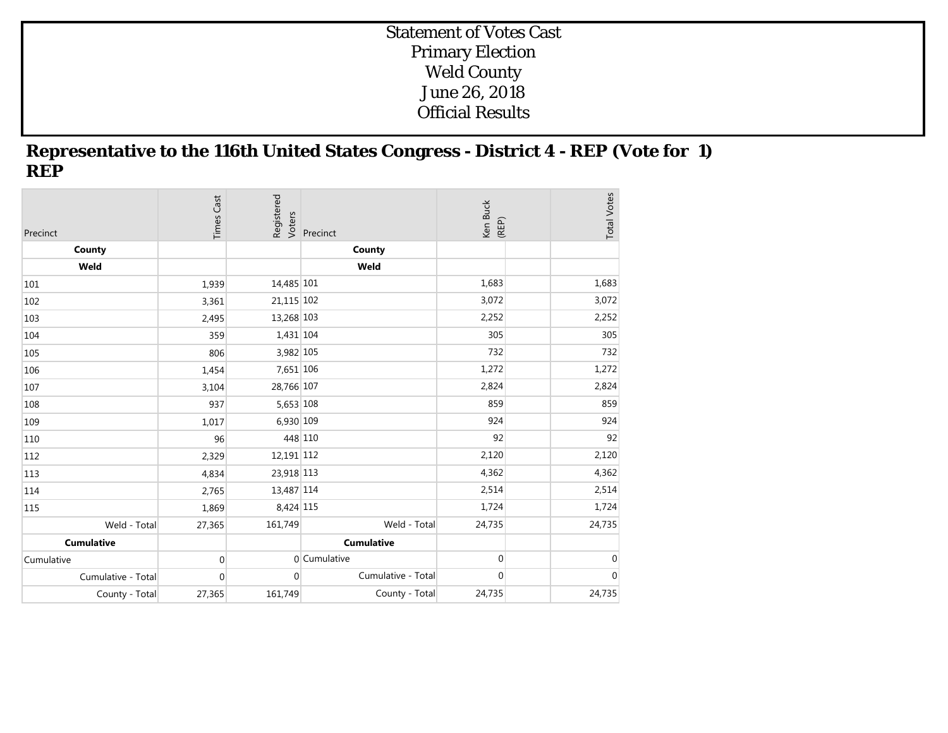#### **Representative to the 116th United States Congress - District 4 - REP (Vote for 1) REP**

| Precinct           | <b>Times Cast</b> | Registered<br>Voters | Precinct           | Ken Buck<br>(REP) | <b>Total Votes</b> |
|--------------------|-------------------|----------------------|--------------------|-------------------|--------------------|
| County             |                   |                      | County             |                   |                    |
| Weld               |                   |                      | Weld               |                   |                    |
| 101                | 1,939             | 14,485 101           |                    | 1,683             | 1,683              |
| 102                | 3,361             | 21,115 102           |                    | 3,072             | 3,072              |
| 103                | 2,495             | 13,268 103           |                    | 2,252             | 2,252              |
| 104                | 359               | 1,431 104            |                    | 305               | 305                |
| 105                | 806               | 3,982 105            |                    | 732               | 732                |
| 106                | 1,454             | 7,651 106            |                    | 1,272             | 1,272              |
| 107                | 3,104             | 28,766 107           |                    | 2,824             | 2,824              |
| 108                | 937               | 5,653 108            |                    | 859               | 859                |
| 109                | 1,017             | 6,930 109            |                    | 924               | 924                |
| 110                | 96                | 448 110              |                    | 92                | 92                 |
| 112                | 2,329             | 12,191 112           |                    | 2,120             | 2,120              |
| 113                | 4,834             | 23,918 113           |                    | 4,362             | 4,362              |
| 114                | 2,765             | 13,487 114           |                    | 2,514             | 2,514              |
| 115                | 1,869             | 8,424 115            |                    | 1,724             | 1,724              |
| Weld - Total       | 27,365            | 161,749              | Weld - Total       | 24,735            | 24,735             |
| <b>Cumulative</b>  |                   |                      | <b>Cumulative</b>  |                   |                    |
| Cumulative         | 0                 |                      | 0 Cumulative       | $\overline{0}$    | $\mathbf 0$        |
| Cumulative - Total | 0                 | $\overline{0}$       | Cumulative - Total | $\mathbf 0$       | $\boldsymbol{0}$   |
| County - Total     | 27,365            | 161,749              | County - Total     | 24,735            | 24,735             |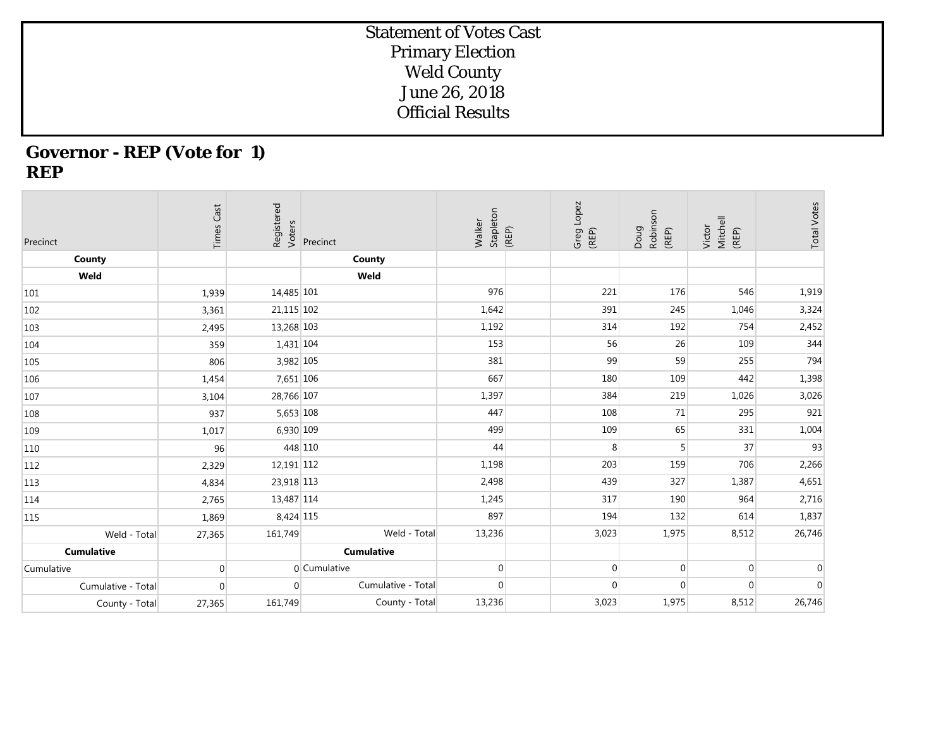## **Governor - REP (Vote for 1) REP**

| Precinct           | <b>Times Cast</b> | Registered<br>Voters | Precinct           | Stapleton<br>Walker | (REP) | Greg Lopez<br>(REP) | Robinson<br>Doug<br>(REP) | Mitchell<br>Victor<br>(REP) | <b>Total Votes</b> |
|--------------------|-------------------|----------------------|--------------------|---------------------|-------|---------------------|---------------------------|-----------------------------|--------------------|
| County             |                   |                      | County             |                     |       |                     |                           |                             |                    |
| Weld               |                   |                      | Weld               |                     |       |                     |                           |                             |                    |
| 101                | 1,939             | 14,485 101           |                    | 976                 |       | 221                 | 176                       | 546                         | 1,919              |
| 102                | 3,361             | 21,115 102           |                    | 1,642               |       | 391                 | 245                       | 1,046                       | 3,324              |
| 103                | 2,495             | 13,268 103           |                    | 1,192               |       | 314                 | 192                       | 754                         | 2,452              |
| 104                | 359               | $1,431$ 104          |                    | 153                 |       | 56                  | 26                        | 109                         | 344                |
| 105                | 806               | 3,982 105            |                    | 381                 |       | 99                  | 59                        | 255                         | 794                |
| 106                | 1,454             | 7,651 106            |                    | 667                 |       | 180                 | 109                       | 442                         | 1,398              |
| 107                | 3,104             | 28,766 107           |                    | 1,397               |       | 384                 | 219                       | 1,026                       | 3,026              |
| 108                | 937               | 5,653 108            |                    | 447                 |       | 108                 | 71                        | 295                         | 921                |
| 109                | 1,017             | 6,930 109            |                    | 499                 |       | 109                 | 65                        | 331                         | 1,004              |
| 110                | 96                | 448 110              |                    | 44                  |       | 8                   | 5                         | 37                          | 93                 |
| 112                | 2,329             | 12,191 112           |                    | 1,198               |       | 203                 | 159                       | 706                         | 2,266              |
| 113                | 4,834             | 23,918 113           |                    | 2,498               |       | 439                 | 327                       | 1,387                       | 4,651              |
| 114                | 2,765             | 13,487 114           |                    | 1,245               |       | 317                 | 190                       | 964                         | 2,716              |
| 115                | 1,869             | 8,424 115            |                    | 897                 |       | 194                 | 132                       | 614                         | 1,837              |
| Weld - Total       | 27,365            | 161,749              | Weld - Total       | 13,236              |       | 3,023               | 1,975                     | 8,512                       | 26,746             |
| <b>Cumulative</b>  |                   |                      | <b>Cumulative</b>  |                     |       |                     |                           |                             |                    |
| Cumulative         | $\overline{0}$    |                      | 0 Cumulative       | $\overline{0}$      |       | $\Omega$            | $\Omega$                  | $\mathbf 0$                 | $\mathbf 0$        |
| Cumulative - Total | $\mathbf 0$       | $\Omega$             | Cumulative - Total | $\overline{0}$      |       | $\overline{0}$      | $\mathbf 0$               | $\mathbf 0$                 | $\overline{0}$     |
| County - Total     | 27,365            | 161,749              | County - Total     | 13,236              |       | 3,023               | 1,975                     | 8,512                       | 26,746             |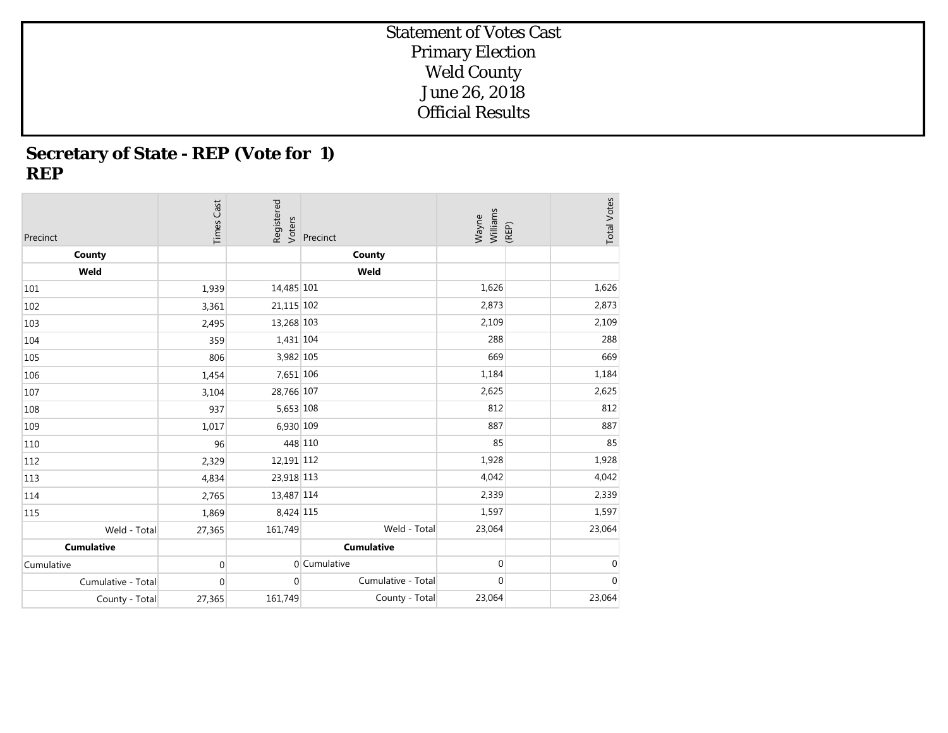# **Secretary of State - REP (Vote for 1) REP**

| Precinct           | <b>Times Cast</b> | Registered<br>Voters | Precinct           | Williams<br>Wayne | (REP) | <b>Total Votes</b> |
|--------------------|-------------------|----------------------|--------------------|-------------------|-------|--------------------|
| County             |                   |                      | County             |                   |       |                    |
| Weld               |                   |                      | Weld               |                   |       |                    |
| 101                | 1,939             | 14,485 101           |                    | 1,626             |       | 1,626              |
| 102                | 3,361             | 21,115 102           |                    | 2,873             |       | 2,873              |
| 103                | 2,495             | 13,268 103           |                    | 2,109             |       | 2,109              |
| 104                | 359               | 1,431 104            |                    | 288               |       | 288                |
| 105                | 806               | 3,982 105            |                    | 669               |       | 669                |
| 106                | 1,454             | 7,651 106            |                    | 1,184             |       | 1,184              |
| 107                | 3,104             | 28,766 107           |                    | 2,625             |       | 2,625              |
| 108                | 937               | 5,653 108            |                    | 812               |       | 812                |
| 109                | 1,017             | 6,930 109            |                    | 887               |       | 887                |
| 110                | 96                | 448 110              |                    | 85                |       | 85                 |
| 112                | 2,329             | 12,191 112           |                    | 1,928             |       | 1,928              |
| 113                | 4,834             | 23,918 113           |                    | 4,042             |       | 4,042              |
| 114                | 2,765             | 13,487 114           |                    | 2,339             |       | 2,339              |
| 115                | 1,869             | 8,424 115            |                    | 1,597             |       | 1,597              |
| Weld - Total       | 27,365            | 161,749              | Weld - Total       | 23,064            |       | 23,064             |
| <b>Cumulative</b>  |                   |                      | <b>Cumulative</b>  |                   |       |                    |
| Cumulative         | $\mathbf{0}$      |                      | 0 Cumulative       | $\mathbf{0}$      |       | $\mathbf{0}$       |
| Cumulative - Total | $\mathbf{0}$      | $\mathbf 0$          | Cumulative - Total | $\mathbf 0$       |       | $\boldsymbol{0}$   |
| County - Total     | 27,365            | 161,749              | County - Total     | 23,064            |       | 23,064             |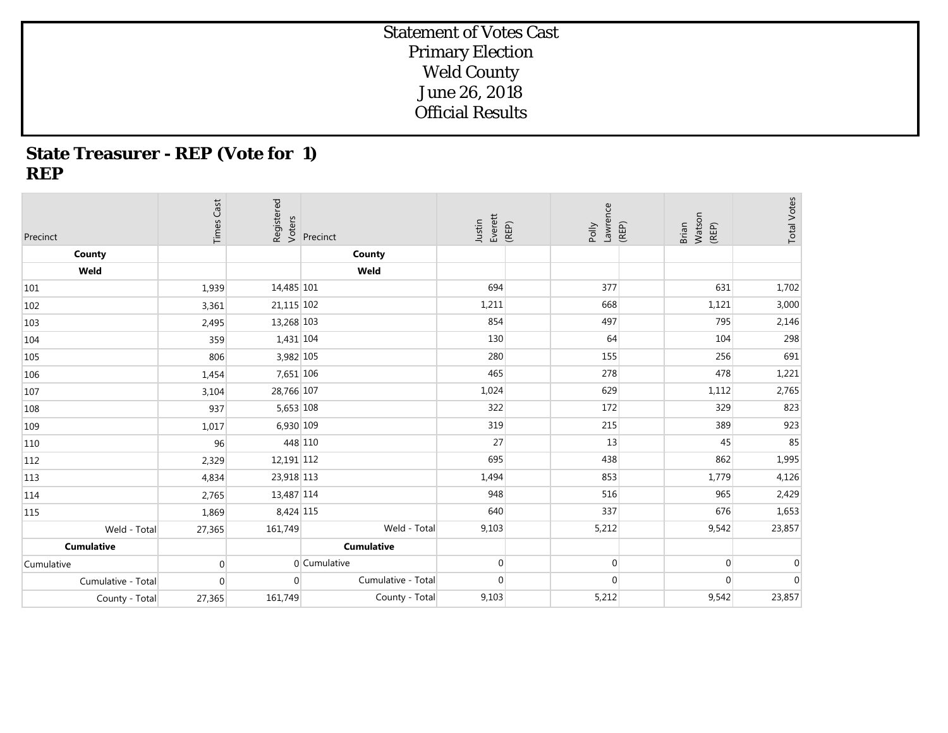## **State Treasurer - REP (Vote for 1) REP**

| Precinct           | <b>Times Cast</b> | Registered<br>Voters | Precinct           | Everett<br>Justin | (REP) | Lawrence<br>Polly | (REP) | Watson<br>(REP)<br>Brian | <b>Total Votes</b> |
|--------------------|-------------------|----------------------|--------------------|-------------------|-------|-------------------|-------|--------------------------|--------------------|
| County             |                   |                      | County             |                   |       |                   |       |                          |                    |
| Weld               |                   |                      | Weld               |                   |       |                   |       |                          |                    |
| 101                | 1,939             | 14,485 101           |                    | 694               |       | 377               |       | 631                      | 1,702              |
| 102                | 3,361             | 21,115 102           |                    | 1,211             |       | 668               |       | 1,121                    | 3,000              |
| 103                | 2,495             | 13,268 103           |                    | 854               |       | 497               |       | 795                      | 2,146              |
| 104                | 359               | 1,431 104            |                    | 130               |       | 64                |       | 104                      | 298                |
| 105                | 806               | 3,982 105            |                    | 280               |       | 155               |       | 256                      | 691                |
| 106                | 1,454             | 7,651 106            |                    | 465               |       | 278               |       | 478                      | 1,221              |
| 107                | 3,104             | 28,766 107           |                    | 1,024             |       | 629               |       | 1,112                    | 2,765              |
| 108                | 937               | 5,653 108            |                    | 322               |       | 172               |       | 329                      | 823                |
| 109                | 1,017             | 6,930 109            |                    | 319               |       | 215               |       | 389                      | 923                |
| 110                | 96                | 448 110              |                    | 27                |       | 13                |       | 45                       | 85                 |
| 112                | 2,329             | 12,191 112           |                    | 695               |       | 438               |       | 862                      | 1,995              |
| 113                | 4,834             | 23,918 113           |                    | 1,494             |       | 853               |       | 1,779                    | 4,126              |
| 114                | 2,765             | 13,487 114           |                    | 948               |       | 516               |       | 965                      | 2,429              |
| 115                | 1,869             | 8,424 115            |                    | 640               |       | 337               |       | 676                      | 1,653              |
| Weld - Total       | 27,365            | 161,749              | Weld - Total       | 9,103             |       | 5,212             |       | 9,542                    | 23,857             |
| <b>Cumulative</b>  |                   |                      | <b>Cumulative</b>  |                   |       |                   |       |                          |                    |
| Cumulative         | $\Omega$          |                      | 0 Cumulative       | $\overline{0}$    |       | $\mathbf 0$       |       | $\mathbf 0$              | $\mathbf 0$        |
| Cumulative - Total | 0                 | $\overline{0}$       | Cumulative - Total | $\overline{0}$    |       | $\mathbf 0$       |       | $\mathbf{0}$             | $\mathbf 0$        |
| County - Total     | 27,365            | 161,749              | County - Total     | 9,103             |       | 5,212             |       | 9,542                    | 23,857             |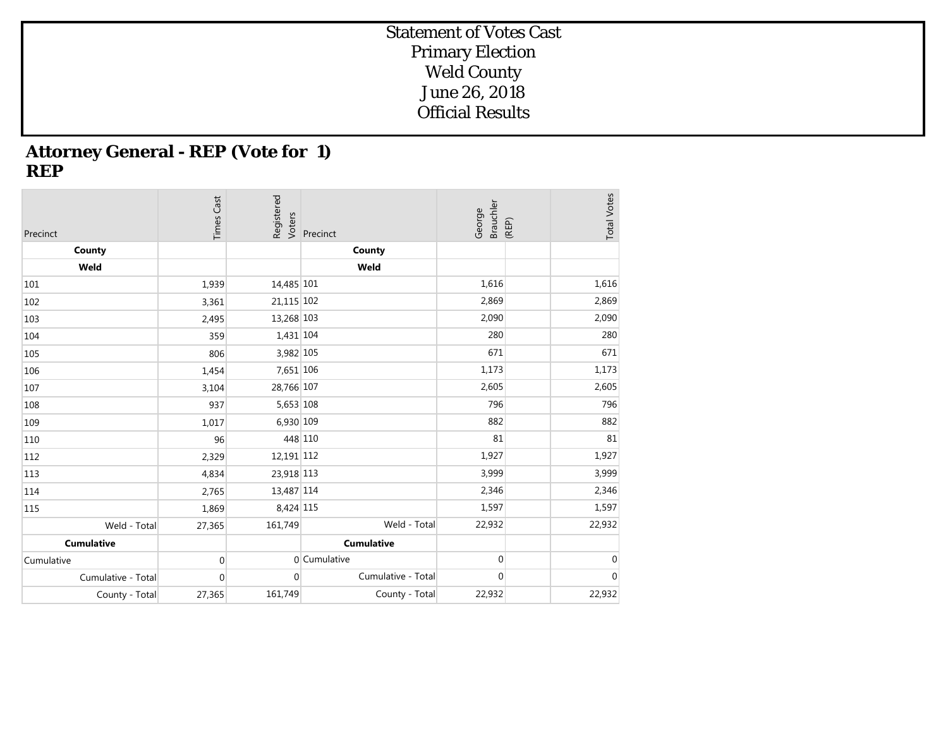## **Attorney General - REP (Vote for 1) REP**

| Precinct           | <b>Times Cast</b> | Registered<br>Voters | Precinct           | Brauchler<br>George | <b>Total Votes</b><br>(REP) |
|--------------------|-------------------|----------------------|--------------------|---------------------|-----------------------------|
| County             |                   |                      | County             |                     |                             |
| Weld               |                   |                      | Weld               |                     |                             |
| 101                | 1,939             | 14,485 101           |                    | 1,616               | 1,616                       |
| 102                | 3,361             | 21,115 102           |                    | 2,869               | 2,869                       |
| 103                | 2,495             | 13,268 103           |                    | 2,090               | 2,090                       |
| 104                | 359               | 1,431 104            |                    | 280                 | 280                         |
| 105                | 806               | 3,982 105            |                    | 671                 | 671                         |
| 106                | 1,454             | 7,651 106            |                    | 1,173               | 1,173                       |
| 107                | 3,104             | 28,766 107           |                    | 2,605               | 2,605                       |
| 108                | 937               | 5,653 108            |                    | 796                 | 796                         |
| 109                | 1,017             | 6,930 109            |                    | 882                 | 882                         |
| 110                | 96                | 448 110              |                    | 81                  | 81                          |
| 112                | 2,329             | 12,191 112           |                    | 1,927               | 1,927                       |
| 113                | 4,834             | 23,918 113           |                    | 3,999               | 3,999                       |
| 114                | 2,765             | 13,487 114           |                    | 2,346               | 2,346                       |
| 115                | 1,869             | 8,424 115            |                    | 1,597               | 1,597                       |
| Weld - Total       | 27,365            | 161,749              | Weld - Total       | 22,932              | 22,932                      |
| <b>Cumulative</b>  |                   |                      | <b>Cumulative</b>  |                     |                             |
| Cumulative         | $\mathbf 0$       |                      | 0 Cumulative       | 0                   | $\mathbf 0$                 |
| Cumulative - Total | $\mathbf{0}$      | $\overline{0}$       | Cumulative - Total | $\mathbf 0$         | $\boldsymbol{0}$            |
| County - Total     | 27,365            | 161,749              | County - Total     | 22,932              | 22,932                      |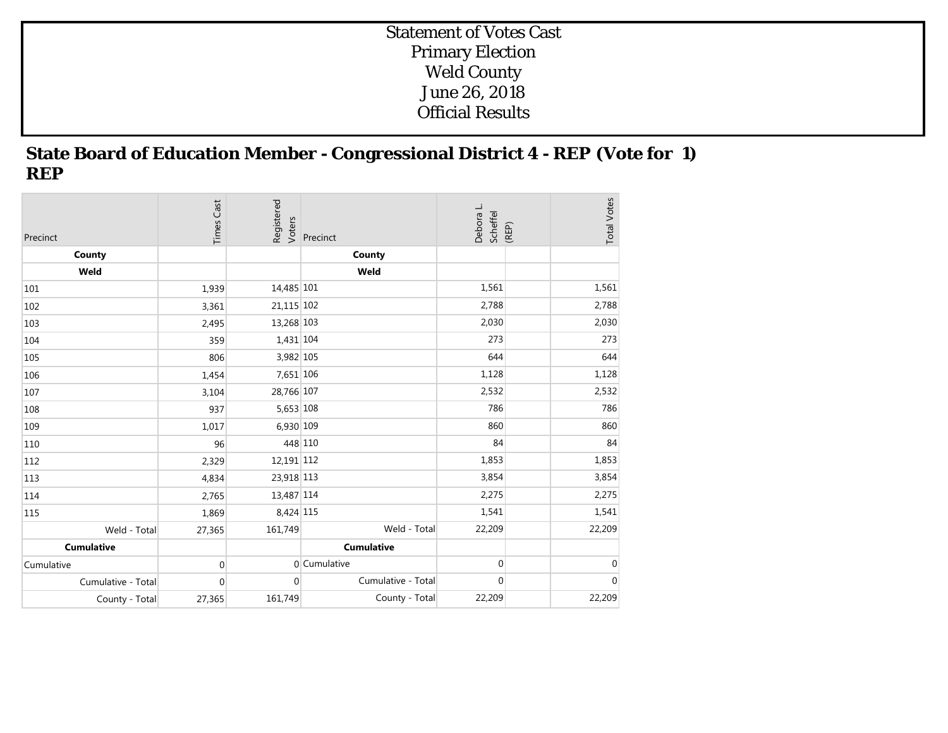## **State Board of Education Member - Congressional District 4 - REP (Vote for 1) REP**

| Precinct           | <b>Times Cast</b> | Registered<br>Voters | Precinct           | Debora L.<br>Scheffel | (REP) | <b>Total Votes</b> |
|--------------------|-------------------|----------------------|--------------------|-----------------------|-------|--------------------|
| County             |                   |                      | County             |                       |       |                    |
| Weld               |                   |                      | Weld               |                       |       |                    |
| 101                | 1,939             | 14,485 101           |                    | 1,561                 |       | 1,561              |
| 102                | 3,361             | 21,115 102           |                    | 2,788                 |       | 2,788              |
| 103                | 2,495             | 13,268 103           |                    | 2,030                 |       | 2,030              |
| 104                | 359               | 1,431 104            |                    | 273                   |       | 273                |
| 105                | 806               | 3,982 105            |                    | 644                   |       | 644                |
| 106                | 1,454             | 7,651 106            |                    | 1,128                 |       | 1,128              |
| 107                | 3,104             | 28,766 107           |                    | 2,532                 |       | 2,532              |
| 108                | 937               | 5,653 108            |                    | 786                   |       | 786                |
| 109                | 1,017             | 6,930 109            |                    | 860                   |       | 860                |
| 110                | 96                | 448 110              |                    | 84                    |       | 84                 |
| 112                | 2,329             | 12,191 112           |                    | 1,853                 |       | 1,853              |
| 113                | 4,834             | 23,918 113           |                    | 3,854                 |       | 3,854              |
| 114                | 2,765             | 13,487 114           |                    | 2,275                 |       | 2,275              |
| 115                | 1,869             | 8,424 115            |                    | 1,541                 |       | 1,541              |
| Weld - Total       | 27,365            | 161,749              | Weld - Total       | 22,209                |       | 22,209             |
| <b>Cumulative</b>  |                   |                      | <b>Cumulative</b>  |                       |       |                    |
| Cumulative         | $\mathbf 0$       |                      | 0 Cumulative       | $\overline{0}$        |       | $\mathbf 0$        |
| Cumulative - Total | $\mathbf{0}$      | $\overline{0}$       | Cumulative - Total | $\overline{0}$        |       | $\overline{0}$     |
| County - Total     | 27,365            | 161,749              | County - Total     | 22,209                |       | 22,209             |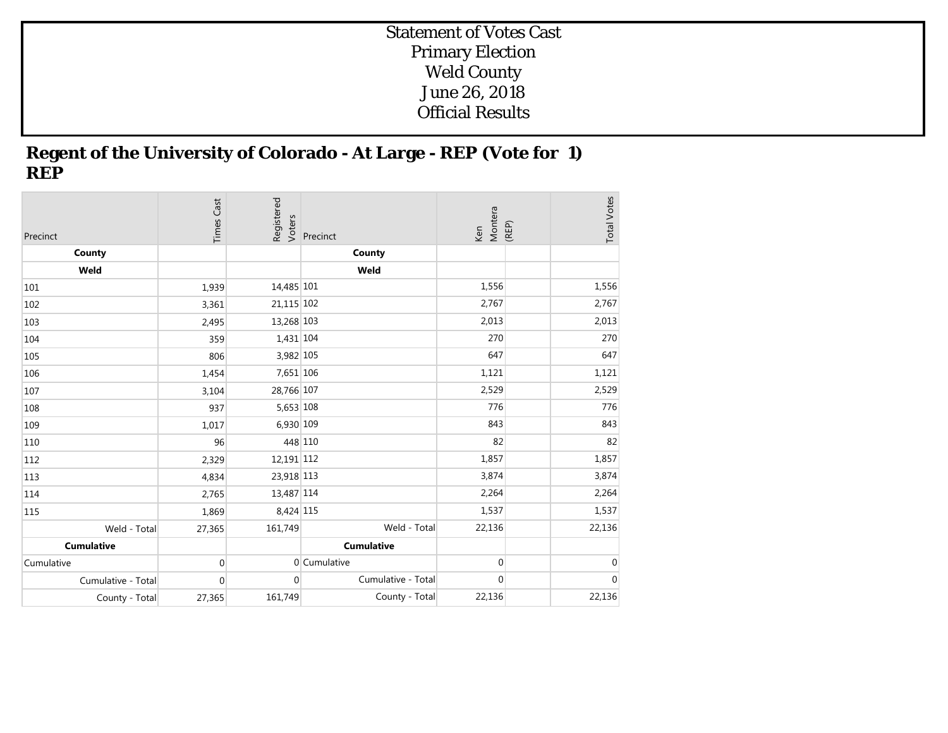## **Regent of the University of Colorado - At Large - REP (Vote for 1) REP**

| Precinct           | <b>Times Cast</b> | Registered<br>Voters | Precinct           | Montera<br>Ken | (REP) | <b>Total Votes</b> |
|--------------------|-------------------|----------------------|--------------------|----------------|-------|--------------------|
| County             |                   |                      | County             |                |       |                    |
| Weld               |                   |                      | Weld               |                |       |                    |
| 101                | 1,939             | 14,485 101           |                    | 1,556          |       | 1,556              |
| 102                | 3,361             | 21,115 102           |                    | 2,767          |       | 2,767              |
| 103                | 2,495             | 13,268 103           |                    | 2,013          |       | 2,013              |
| 104                | 359               | 1,431 104            |                    | 270            |       | 270                |
| 105                | 806               | 3,982 105            |                    | 647            |       | 647                |
| 106                | 1,454             | 7,651 106            |                    | 1,121          |       | 1,121              |
| 107                | 3,104             | 28,766 107           |                    | 2,529          |       | 2,529              |
| 108                | 937               | 5,653 108            |                    | 776            |       | 776                |
| 109                | 1,017             | 6,930 109            |                    | 843            |       | 843                |
| 110                | 96                | 448 110              |                    | 82             |       | 82                 |
| 112                | 2,329             | 12,191 112           |                    | 1,857          |       | 1,857              |
| 113                | 4,834             | 23,918 113           |                    | 3,874          |       | 3,874              |
| 114                | 2,765             | 13,487 114           |                    | 2,264          |       | 2,264              |
| 115                | 1,869             | 8,424 115            |                    | 1,537          |       | 1,537              |
| Weld - Total       | 27,365            | 161,749              | Weld - Total       | 22,136         |       | 22,136             |
| <b>Cumulative</b>  |                   |                      | <b>Cumulative</b>  |                |       |                    |
| Cumulative         | $\mathbf 0$       |                      | 0 Cumulative       | $\overline{0}$ |       | $\mathbf 0$        |
| Cumulative - Total | $\mathbf{0}$      | $\overline{0}$       | Cumulative - Total | $\overline{0}$ |       | $\mathbf 0$        |
| County - Total     | 27,365            | 161,749              | County - Total     | 22,136         |       | 22,136             |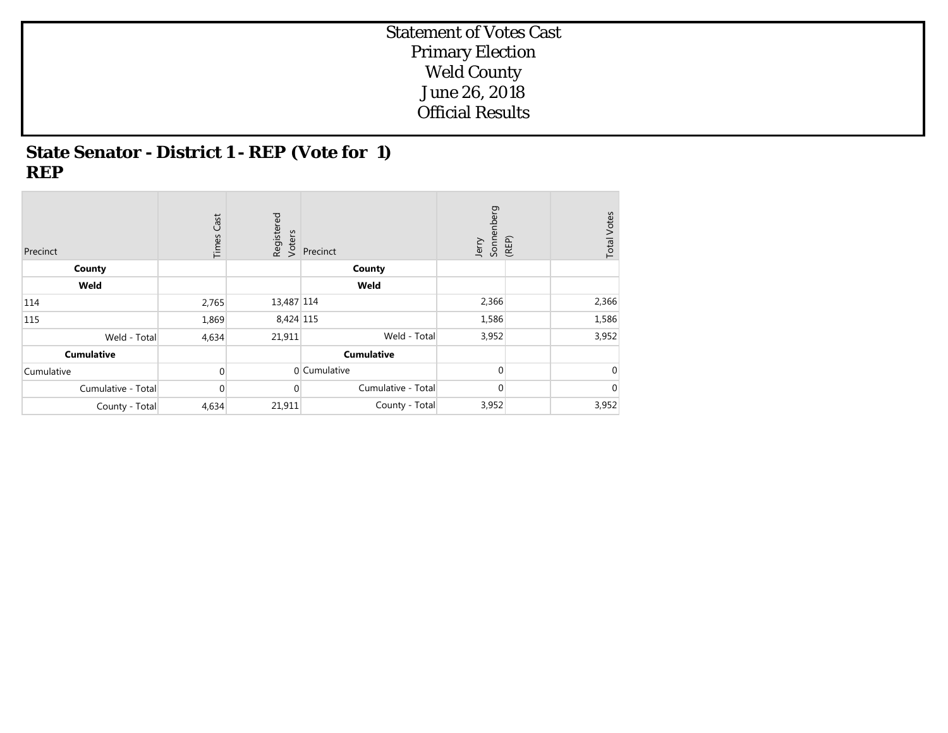## **State Senator - District 1 - REP (Vote for 1) REP**

| Precinct           | Cast<br>Times  | Registered<br>Voters | Precinct           | Jerry<br>Sonnenberg<br>(REP) | <b>Total Votes</b> |
|--------------------|----------------|----------------------|--------------------|------------------------------|--------------------|
| County             |                |                      | County             |                              |                    |
| Weld               |                |                      | Weld               |                              |                    |
| 114                | 2,765          | 13,487 114           |                    | 2,366                        | 2,366              |
| 115                | 1,869          | 8,424 115            |                    | 1,586                        | 1,586              |
| Weld - Total       | 4,634          | 21,911               | Weld - Total       | 3,952                        | 3,952              |
| <b>Cumulative</b>  |                |                      | <b>Cumulative</b>  |                              |                    |
| Cumulative         | $\Omega$       |                      | 0 Cumulative       | $\Omega$                     | $\mathbf 0$        |
| Cumulative - Total | $\overline{0}$ | $\mathbf 0$          | Cumulative - Total | 0                            | 0                  |
| County - Total     | 4,634          | 21,911               | County - Total     | 3,952                        | 3,952              |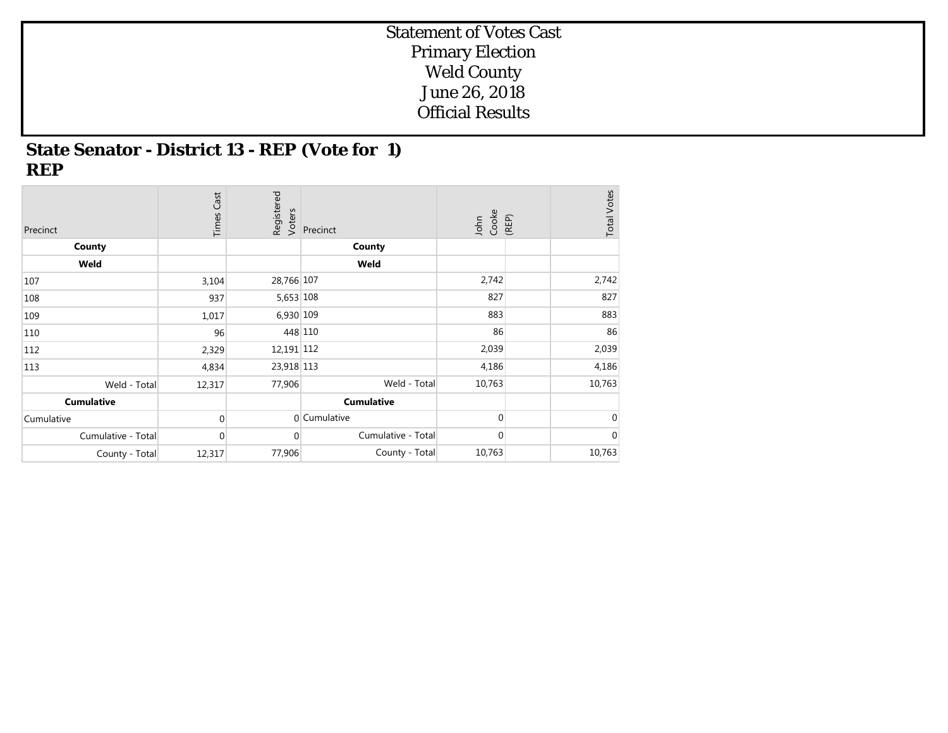## **State Senator - District 13 - REP (Vote for 1) REP**

| Precinct           | <b>Times Cast</b> | Registered<br>Voters | Precinct           | John<br>Cooke | <b>Total Votes</b><br>(REP) |
|--------------------|-------------------|----------------------|--------------------|---------------|-----------------------------|
| County             |                   |                      | County             |               |                             |
| Weld               |                   |                      | Weld               |               |                             |
| 107                | 3,104             | 28,766 107           |                    | 2,742         | 2,742                       |
| 108                | 937               | 5,653 108            |                    | 827           | 827                         |
| 109                | 1,017             | 6,930 109            |                    | 883           | 883                         |
| 110                | 96                | 448 110              |                    | 86            | 86                          |
| 112                | 2,329             | 12,191 112           |                    | 2,039         | 2,039                       |
| 113                | 4,834             | 23,918 113           |                    | 4,186         | 4,186                       |
| Weld - Total       | 12,317            | 77,906               | Weld - Total       | 10,763        | 10,763                      |
| <b>Cumulative</b>  |                   |                      | <b>Cumulative</b>  |               |                             |
| Cumulative         | $\Omega$          |                      | 0 Cumulative       | $\Omega$      | $\mathbf 0$                 |
| Cumulative - Total | $\overline{0}$    | $\mathbf 0$          | Cumulative - Total | 0             | $\overline{0}$              |
| County - Total     | 12,317            | 77,906               | County - Total     | 10,763        | 10,763                      |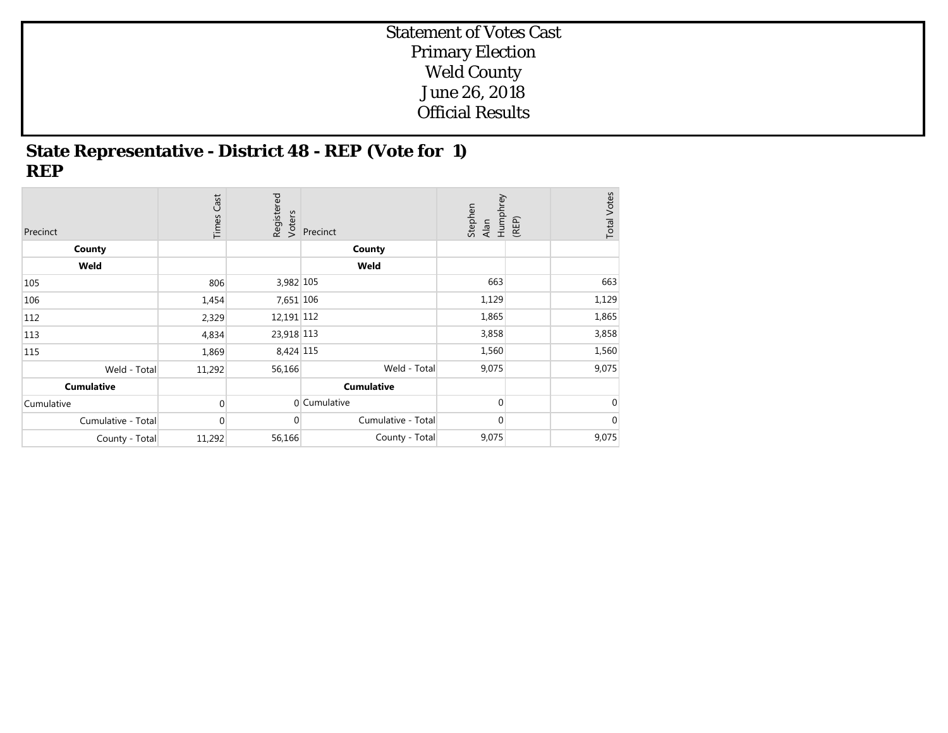## **State Representative - District 48 - REP (Vote for 1) REP**

| Precinct           | Cast<br>Times  | Registered<br>Voters | Precinct           | Humphrey<br>Stephen<br>Alan | (REP) | <b>Total Votes</b> |
|--------------------|----------------|----------------------|--------------------|-----------------------------|-------|--------------------|
| County             |                |                      | County             |                             |       |                    |
| Weld               |                |                      | Weld               |                             |       |                    |
| 105                | 806            | 3,982 105            |                    | 663                         |       | 663                |
| 106                | 1,454          | 7,651 106            |                    | 1,129                       |       | 1,129              |
| 112                | 2,329          | 12,191 112           |                    | 1,865                       |       | 1,865              |
| 113                | 4,834          | 23,918 113           |                    | 3,858                       |       | 3,858              |
| 115                | 1,869          | 8,424 115            |                    | 1,560                       |       | 1,560              |
| Weld - Total       | 11,292         | 56,166               | Weld - Total       | 9,075                       |       | 9,075              |
| <b>Cumulative</b>  |                |                      | <b>Cumulative</b>  |                             |       |                    |
| Cumulative         | $\Omega$       |                      | 0 Cumulative       | 0                           |       | $\overline{0}$     |
| Cumulative - Total | $\overline{0}$ | $\overline{0}$       | Cumulative - Total | $\mathbf 0$                 |       | $\mathbf 0$        |
| County - Total     | 11,292         | 56,166               | County - Total     | 9,075                       |       | 9,075              |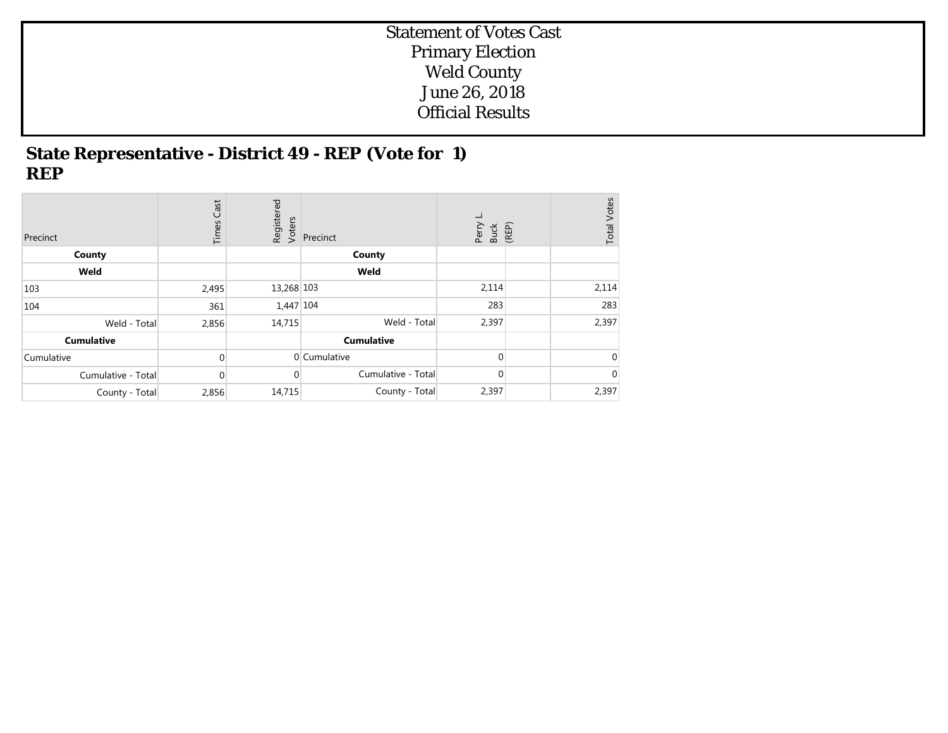## **State Representative - District 49 - REP (Vote for 1) REP**

| Precinct           | Cast<br>Times  | Registered<br>Voters | Precinct           | ᆜ<br>Perry<br>Buck<br>(REP) | Votes<br>Total <sup>'</sup> |
|--------------------|----------------|----------------------|--------------------|-----------------------------|-----------------------------|
| County             |                |                      | County             |                             |                             |
| Weld               |                |                      | Weld               |                             |                             |
| 103                | 2,495          | 13,268 103           |                    | 2,114                       | 2,114                       |
| 104                | 361            | 1,447 104            |                    | 283                         | 283                         |
| Weld - Total       | 2,856          | 14,715               | Weld - Total       | 2,397                       | 2,397                       |
| <b>Cumulative</b>  |                |                      | <b>Cumulative</b>  |                             |                             |
| Cumulative         | $\overline{0}$ |                      | 0 Cumulative       | $\Omega$                    | $\overline{0}$              |
| Cumulative - Total | $\overline{0}$ | 0                    | Cumulative - Total | $\mathbf 0$                 | $\overline{0}$              |
| County - Total     | 2,856          | 14,715               | County - Total     | 2,397                       | 2,397                       |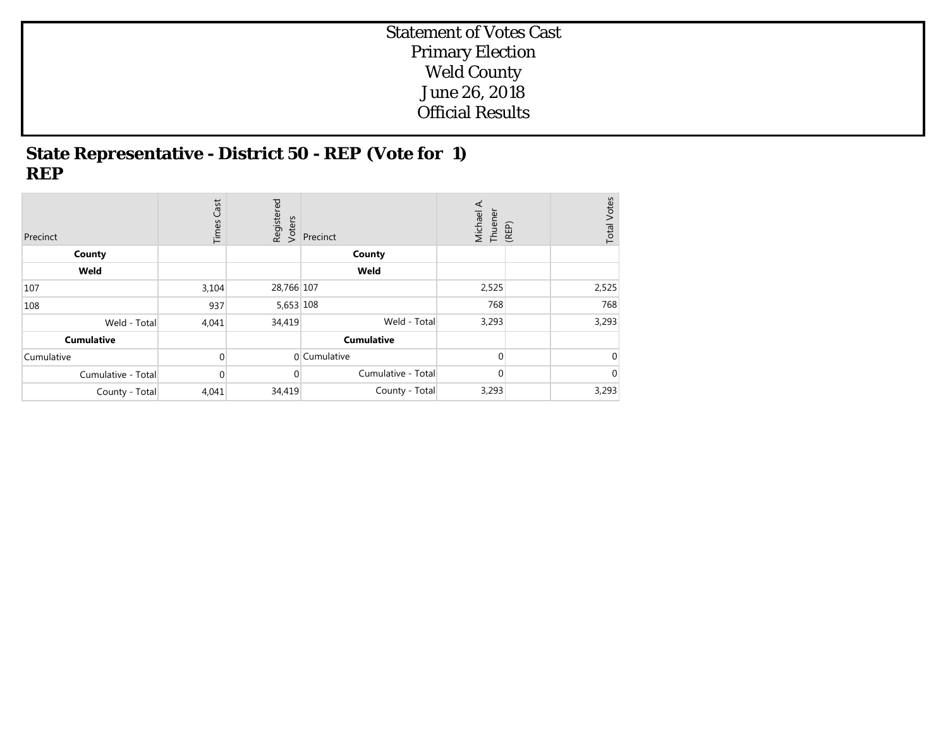## **State Representative - District 50 - REP (Vote for 1) REP**

| Precinct           | Cast<br>Times | Registered<br>Voters | Precinct           | ⋖<br>Michael<br>Thuener | (REP) | <b>Total Votes</b> |
|--------------------|---------------|----------------------|--------------------|-------------------------|-------|--------------------|
| County             |               |                      | County             |                         |       |                    |
| Weld               |               |                      | Weld               |                         |       |                    |
| 107                | 3,104         | 28,766 107           |                    | 2,525                   |       | 2,525              |
| 108                | 937           | 5,653 108            |                    | 768                     |       | 768                |
| Weld - Total       | 4,041         | 34,419               | Weld - Total       | 3,293                   |       | 3,293              |
| <b>Cumulative</b>  |               |                      | <b>Cumulative</b>  |                         |       |                    |
| Cumulative         | $\Omega$      |                      | 0 Cumulative       | $\Omega$                |       | $\Omega$           |
| Cumulative - Total | $\Omega$      | $\overline{0}$       | Cumulative - Total | $\Omega$                |       | $\overline{0}$     |
| County - Total     | 4,041         | 34,419               | County - Total     | 3,293                   |       | 3,293              |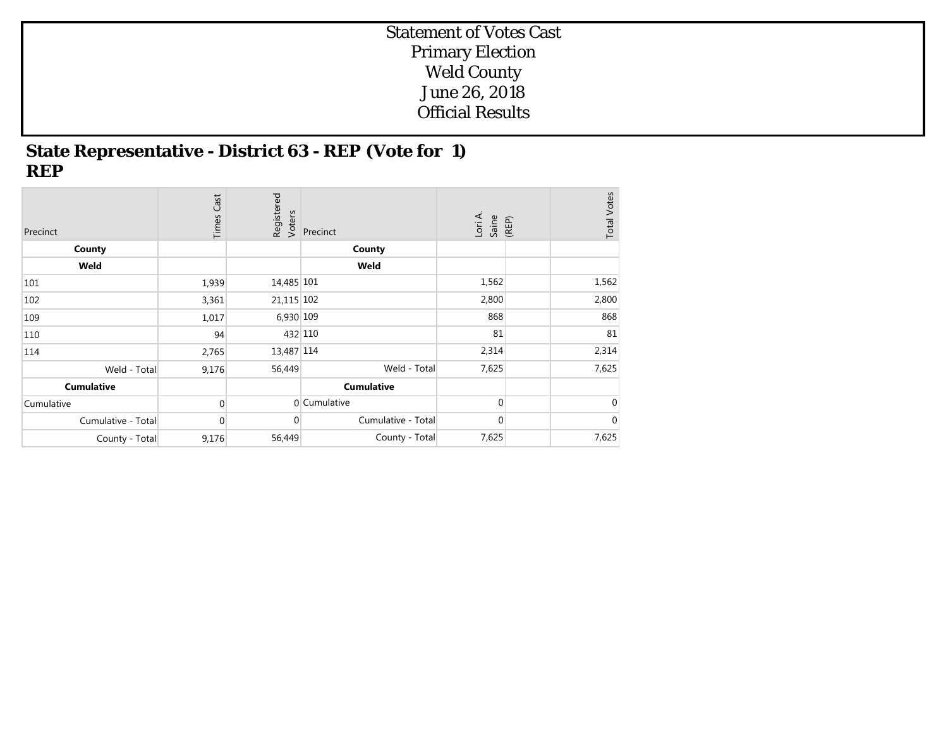## **State Representative - District 63 - REP (Vote for 1) REP**

| Precinct           | Cast<br>Times  | Registered<br>Voters | Precinct           | Lori A.<br>Saine<br>(REP) | <b>Total Votes</b> |
|--------------------|----------------|----------------------|--------------------|---------------------------|--------------------|
| County             |                |                      | County             |                           |                    |
| Weld               |                |                      | Weld               |                           |                    |
| 101                | 1,939          | 14,485 101           |                    | 1,562                     | 1,562              |
| 102                | 3,361          | 21,115 102           |                    | 2,800                     | 2,800              |
| 109                | 1,017          | 6,930 109            |                    | 868                       | 868                |
| 110                | 94             | 432 110              |                    | 81                        | 81                 |
| 114                | 2,765          | 13,487 114           |                    | 2,314                     | 2,314              |
| Weld - Total       | 9,176          | 56,449               | Weld - Total       | 7,625                     | 7,625              |
| <b>Cumulative</b>  |                |                      | <b>Cumulative</b>  |                           |                    |
| Cumulative         | $\Omega$       |                      | 0 Cumulative       | 0                         | $\overline{0}$     |
| Cumulative - Total | $\overline{0}$ | $\overline{0}$       | Cumulative - Total | 0                         | $\mathbf 0$        |
| County - Total     | 9,176          | 56,449               | County - Total     | 7,625                     | 7,625              |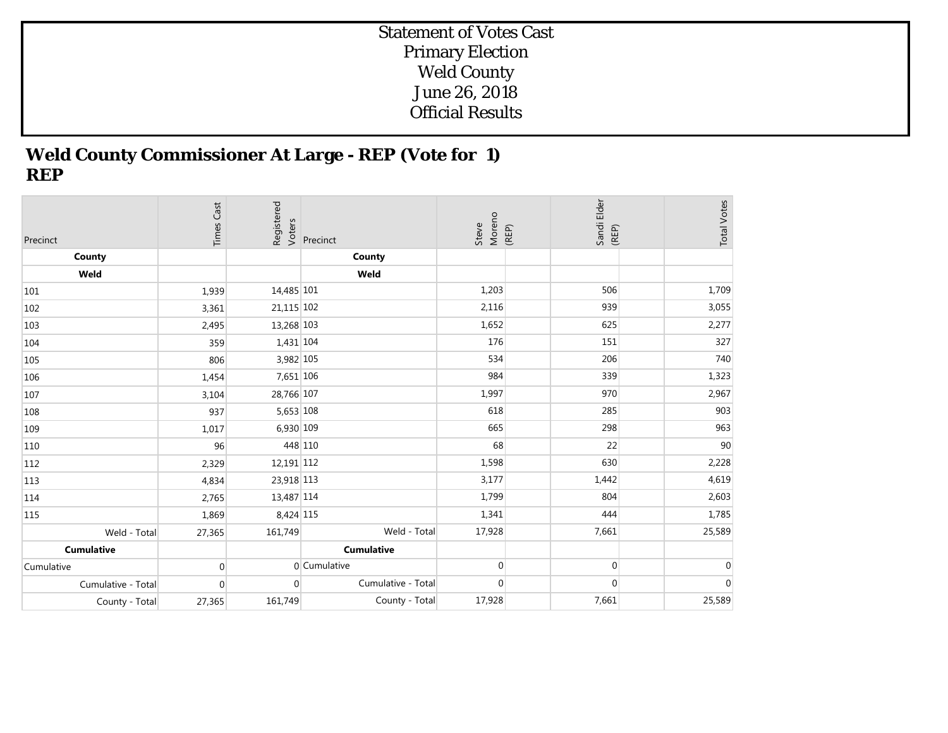## **Weld County Commissioner At Large - REP (Vote for 1) REP**

| Precinct           | <b>Times Cast</b> | Registered<br>Voters | Precinct           | Moreno<br>(REP)<br>Steve | Sandi Elder<br>(REP) | <b>Total Votes</b> |
|--------------------|-------------------|----------------------|--------------------|--------------------------|----------------------|--------------------|
| County             |                   |                      | County             |                          |                      |                    |
| Weld               |                   |                      | Weld               |                          |                      |                    |
| 101                | 1,939             | 14,485 101           |                    | 1,203                    | 506                  | 1,709              |
| 102                | 3,361             | 21,115 102           |                    | 2,116                    | 939                  | 3,055              |
| 103                | 2,495             | 13,268 103           |                    | 1,652                    | 625                  | 2,277              |
| 104                | 359               | $1,431$ 104          |                    | 176                      | 151                  | 327                |
| 105                | 806               | 3,982 105            |                    | 534                      | 206                  | 740                |
| 106                | 1,454             | 7,651 106            |                    | 984                      | 339                  | 1,323              |
| 107                | 3,104             | 28,766 107           |                    | 1,997                    | 970                  | 2,967              |
| 108                | 937               | 5,653 108            |                    | 618                      | 285                  | 903                |
| 109                | 1,017             | 6,930 109            |                    | 665                      | 298                  | 963                |
| 110                | 96                | 448 110              |                    | 68                       | 22                   | 90                 |
| 112                | 2,329             | 12,191 112           |                    | 1,598                    | 630                  | 2,228              |
| 113                | 4,834             | 23,918 113           |                    | 3,177                    | 1,442                | 4,619              |
| 114                | 2,765             | 13,487 114           |                    | 1,799                    | 804                  | 2,603              |
| 115                | 1,869             | 8,424 115            |                    | 1,341                    | 444                  | 1,785              |
| Weld - Total       | 27,365            | 161,749              | Weld - Total       | 17,928                   | 7,661                | 25,589             |
| <b>Cumulative</b>  |                   |                      | <b>Cumulative</b>  |                          |                      |                    |
| Cumulative         | $\mathbf 0$       |                      | 0 Cumulative       | $\mathbf 0$              | $\mathbf 0$          | $\overline{0}$     |
| Cumulative - Total | $\mathbf 0$       | $\Omega$             | Cumulative - Total | $\mathbf 0$              | $\mathbf 0$          | $\mathbf 0$        |
| County - Total     | 27,365            | 161,749              | County - Total     | 17,928                   | 7,661                | 25,589             |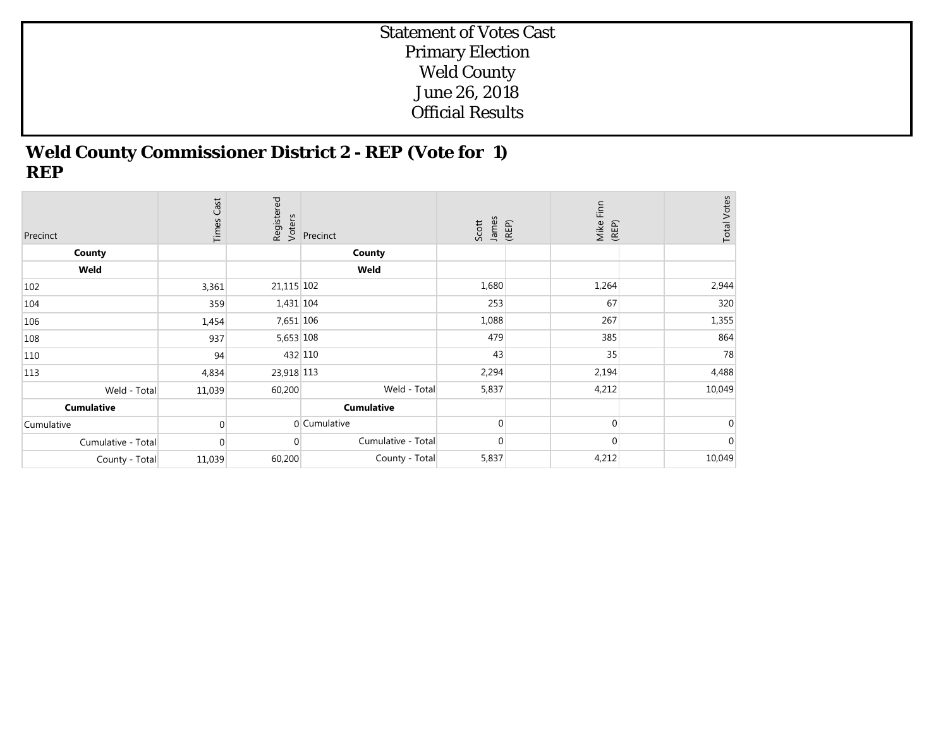## **Weld County Commissioner District 2 - REP (Vote for 1) REP**

| Precinct           | Cast<br>Times | Registered<br>Voters | Precinct           | James<br>(REP)<br>Scott | Mike Finn<br>(REP) | <b>Total Votes</b> |
|--------------------|---------------|----------------------|--------------------|-------------------------|--------------------|--------------------|
| County             |               |                      | County             |                         |                    |                    |
| Weld               |               |                      | Weld               |                         |                    |                    |
| 102                | 3,361         | 21,115 102           |                    | 1,680                   | 1,264              | 2,944              |
| 104                | 359           | 1,431 104            |                    | 253                     | 67                 | 320                |
| 106                | 1,454         | 7,651 106            |                    | 1,088                   | 267                | 1,355              |
| 108                | 937           | 5,653 108            |                    | 479                     | 385                | 864                |
| 110                | 94            | 432 110              |                    | 43                      | 35                 | 78                 |
| 113                | 4,834         | 23,918 113           |                    | 2,294                   | 2,194              | 4,488              |
| Weld - Total       | 11,039        | 60,200               | Weld - Total       | 5,837                   | 4,212              | 10,049             |
| <b>Cumulative</b>  |               |                      | <b>Cumulative</b>  |                         |                    |                    |
| Cumulative         | $\Omega$      |                      | 0 Cumulative       | $\Omega$                | $\Omega$           | 0                  |
| Cumulative - Total | $\mathbf 0$   | $\Omega$             | Cumulative - Total | 0                       | 0                  | $\mathbf 0$        |
| County - Total     | 11,039        | 60,200               | County - Total     | 5,837                   | 4,212              | 10,049             |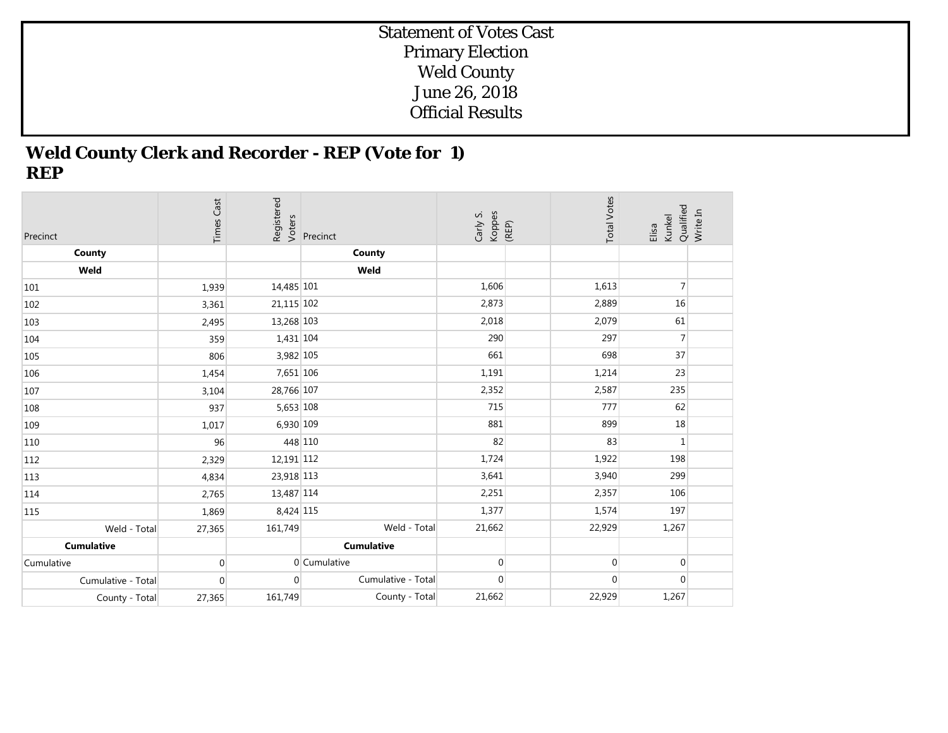## **Weld County Clerk and Recorder - REP (Vote for 1) REP**

| Precinct           | <b>Times Cast</b> | Registered<br>Voters | Precinct           | Koppes<br>(REP)<br>Carly S. | <b>Total Votes</b> | Qualified<br>Kunkel<br>Elisa | Write In |
|--------------------|-------------------|----------------------|--------------------|-----------------------------|--------------------|------------------------------|----------|
| County             |                   |                      | County             |                             |                    |                              |          |
| Weld               |                   |                      | Weld               |                             |                    |                              |          |
| 101                | 1,939             | 14,485 101           |                    | 1,606                       | 1,613              | $\overline{7}$               |          |
| 102                | 3,361             | 21,115 102           |                    | 2,873                       | 2,889              | 16                           |          |
| 103                | 2,495             | 13,268 103           |                    | 2,018                       | 2,079              | 61                           |          |
| 104                | 359               | 1,431 104            |                    | 290                         | 297                | $\overline{7}$               |          |
| 105                | 806               | 3,982 105            |                    | 661                         | 698                | 37                           |          |
| 106                | 1,454             | 7,651 106            |                    | 1,191                       | 1,214              | 23                           |          |
| 107                | 3,104             | 28,766 107           |                    | 2,352                       | 2,587              | 235                          |          |
| 108                | 937               | 5,653 108            |                    | 715                         | 777                | 62                           |          |
| 109                | 1,017             | 6,930 109            |                    | 881                         | 899                | 18                           |          |
| 110                | 96                | 448 110              |                    | 82                          | 83                 | $\mathbf{1}$                 |          |
| 112                | 2,329             | 12,191 112           |                    | 1,724                       | 1,922              | 198                          |          |
| 113                | 4,834             | 23,918 113           |                    | 3,641                       | 3,940              | 299                          |          |
| 114                | 2,765             | 13,487 114           |                    | 2,251                       | 2,357              | 106                          |          |
| 115                | 1,869             | 8,424 115            |                    | 1,377                       | 1,574              | 197                          |          |
| Weld - Total       | 27,365            | 161,749              | Weld - Total       | 21,662                      | 22,929             | 1,267                        |          |
| <b>Cumulative</b>  |                   |                      | <b>Cumulative</b>  |                             |                    |                              |          |
| Cumulative         | $\mathbf{0}$      |                      | 0 Cumulative       | $\overline{0}$              | $\overline{0}$     | $\overline{0}$               |          |
| Cumulative - Total | 0                 | $\Omega$             | Cumulative - Total | $\mathbf{0}$                | $\mathbf{0}$       | $\overline{0}$               |          |
| County - Total     | 27,365            | 161,749              | County - Total     | 21,662                      | 22,929             | 1,267                        |          |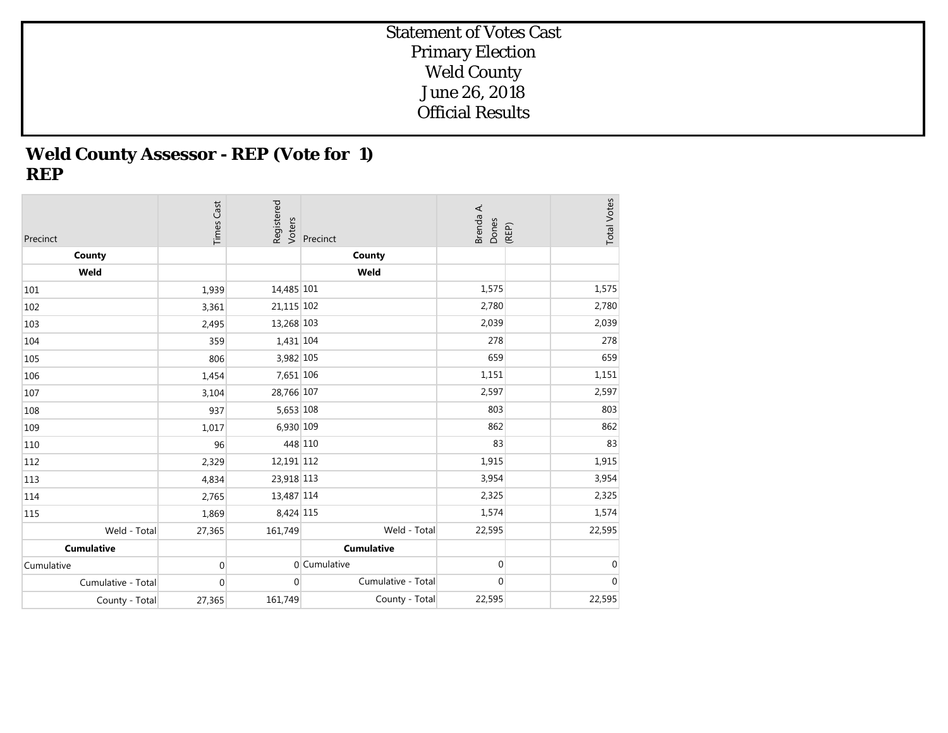# **Weld County Assessor - REP (Vote for 1) REP**

| Precinct           | <b>Times Cast</b> | Registered<br>Voters | Precinct           | Brenda A.<br>Dones | <b>Total Votes</b><br>(REP) |
|--------------------|-------------------|----------------------|--------------------|--------------------|-----------------------------|
| County             |                   |                      | County             |                    |                             |
| Weld               |                   |                      | Weld               |                    |                             |
| 101                | 1,939             | 14,485 101           |                    | 1,575              | 1,575                       |
| 102                | 3,361             | 21,115 102           |                    | 2,780              | 2,780                       |
| 103                | 2,495             | 13,268 103           |                    | 2,039              | 2,039                       |
| 104                | 359               | 1,431 104            |                    | 278                | 278                         |
| 105                | 806               | 3,982 105            |                    | 659                | 659                         |
| 106                | 1,454             | 7,651 106            |                    | 1,151              | 1,151                       |
| 107                | 3,104             | 28,766 107           |                    | 2,597              | 2,597                       |
| 108                | 937               | 5,653 108            |                    | 803                | 803                         |
| 109                | 1,017             | 6,930 109            |                    | 862                | 862                         |
| 110                | 96                | 448 110              |                    | 83                 | 83                          |
| 112                | 2,329             | 12,191 112           |                    | 1,915              | 1,915                       |
| 113                | 4,834             | 23,918 113           |                    | 3,954              | 3,954                       |
| 114                | 2,765             | 13,487 114           |                    | 2,325              | 2,325                       |
| 115                | 1,869             | 8,424 115            |                    | 1,574              | 1,574                       |
| Weld - Total       | 27,365            | 161,749              | Weld - Total       | 22,595             | 22,595                      |
| <b>Cumulative</b>  |                   |                      | <b>Cumulative</b>  |                    |                             |
| Cumulative         | $\mathbf 0$       |                      | 0 Cumulative       | $\mathbf 0$        | $\mathbf 0$                 |
| Cumulative - Total | $\mathbf 0$       | $\overline{0}$       | Cumulative - Total | $\mathbf 0$        | $\boldsymbol{0}$            |
| County - Total     | 27,365            | 161,749              | County - Total     | 22,595             | 22,595                      |